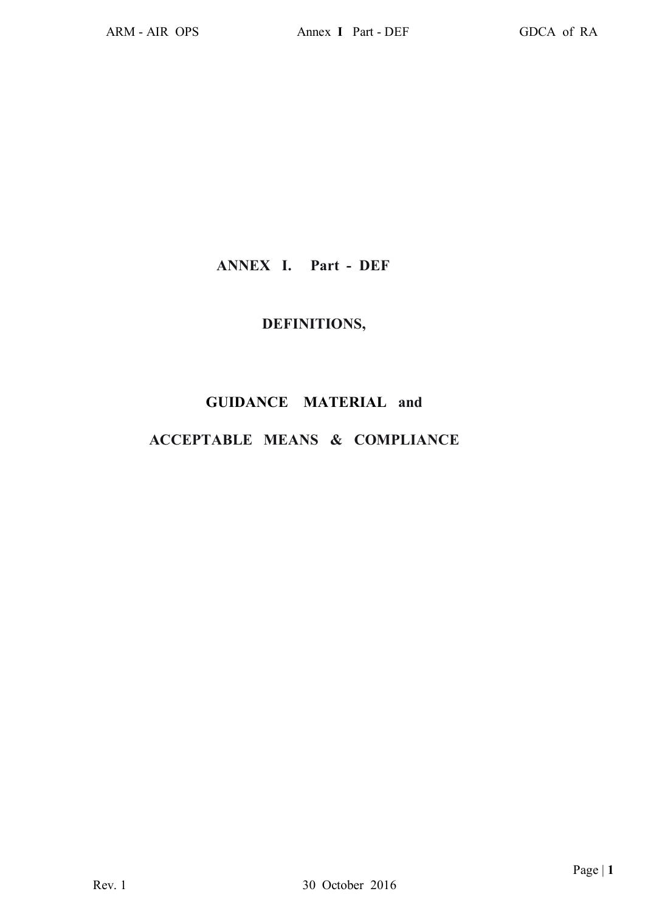# **ANNEX I. Part - DEF**

# **DEFINITIONS,**

# **GUIDANCE MATERIAL and**

# **ACCEPTABLE MEANS & COMPLIANCE**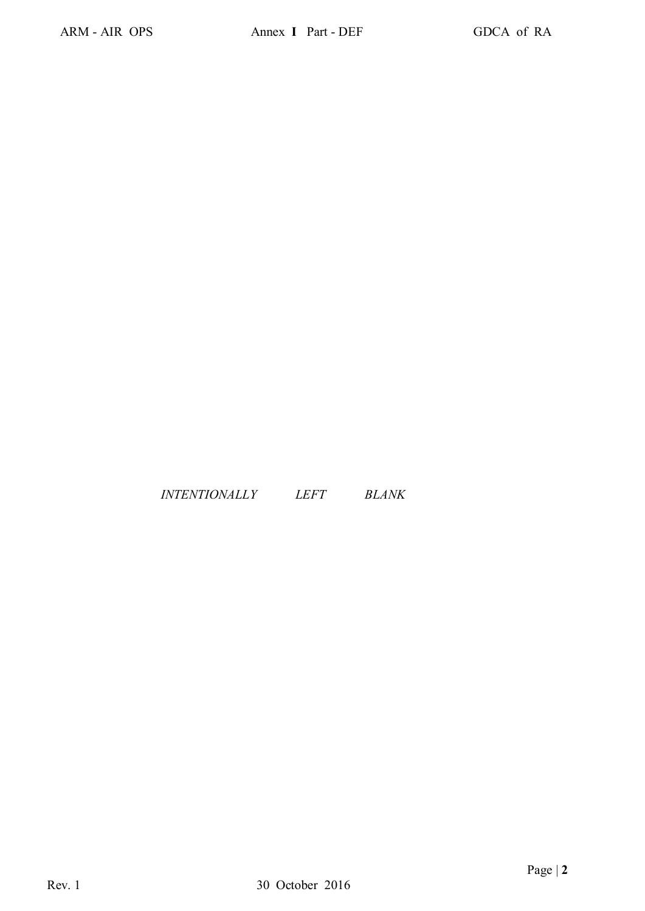*INTENTIONALLY LEFT BLANK*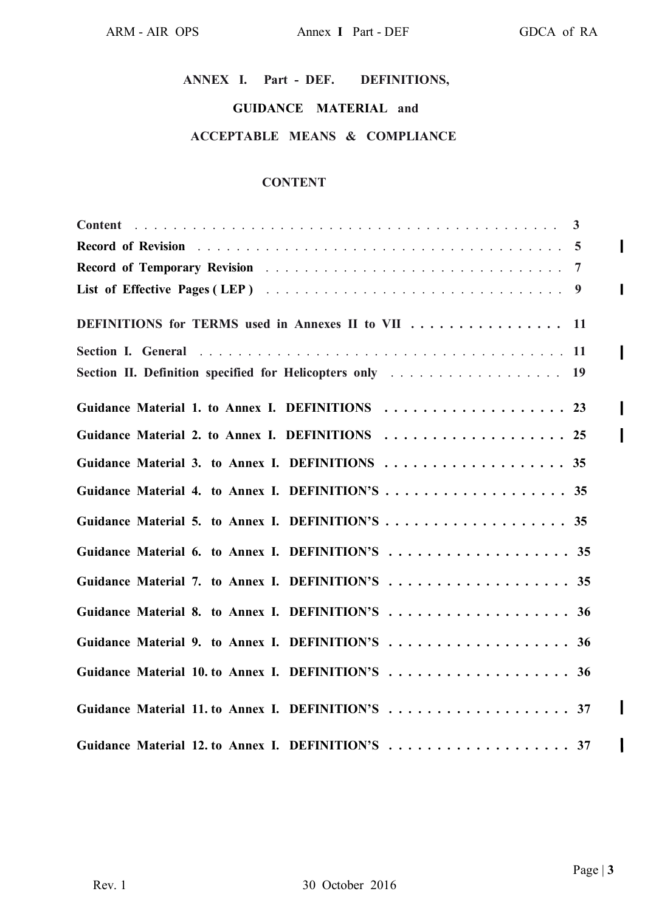I

# **ANNEX I. Part - DEF. DEFINITIONS,**

## **GUIDANCE MATERIAL and**

# **ACCEPTABLE MEANS & COMPLIANCE**

## **CONTENT**

| $\mathbf{3}$                                                                                                                                                                                                                  |  |
|-------------------------------------------------------------------------------------------------------------------------------------------------------------------------------------------------------------------------------|--|
| Record of Revision response to the contract of the contract of the contract of the set of the contract of the contract of the contract of the contract of the contract of the contract of the contract of the contract of the |  |
| 7                                                                                                                                                                                                                             |  |
| 9                                                                                                                                                                                                                             |  |
| DEFINITIONS for TERMS used in Annexes II to VII  11                                                                                                                                                                           |  |
|                                                                                                                                                                                                                               |  |
|                                                                                                                                                                                                                               |  |
| Guidance Material 1. to Annex I. DEFINITIONS  23                                                                                                                                                                              |  |
| Guidance Material 2. to Annex I. DEFINITIONS  25                                                                                                                                                                              |  |
|                                                                                                                                                                                                                               |  |
| Guidance Material 4. to Annex I. DEFINITION'S  35                                                                                                                                                                             |  |
|                                                                                                                                                                                                                               |  |
| Guidance Material 6. to Annex I. DEFINITION'S  35                                                                                                                                                                             |  |
| Guidance Material 7. to Annex I. DEFINITION'S  35                                                                                                                                                                             |  |
| Guidance Material 8. to Annex I. DEFINITION'S  36                                                                                                                                                                             |  |
| Guidance Material 9. to Annex I. DEFINITION'S  36                                                                                                                                                                             |  |
|                                                                                                                                                                                                                               |  |
|                                                                                                                                                                                                                               |  |
|                                                                                                                                                                                                                               |  |

ı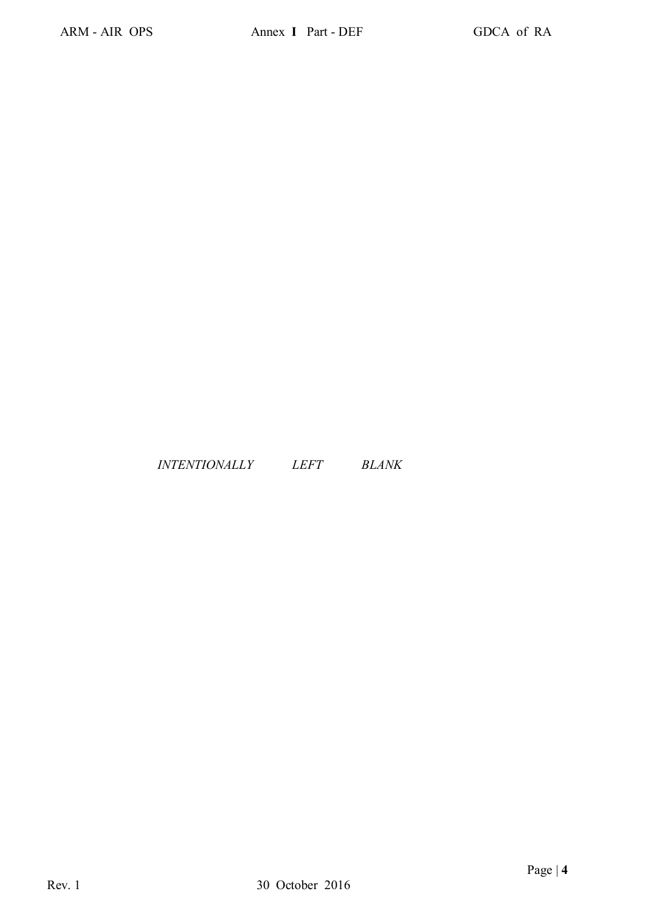*INTENTIONALLY LEFT BLANK*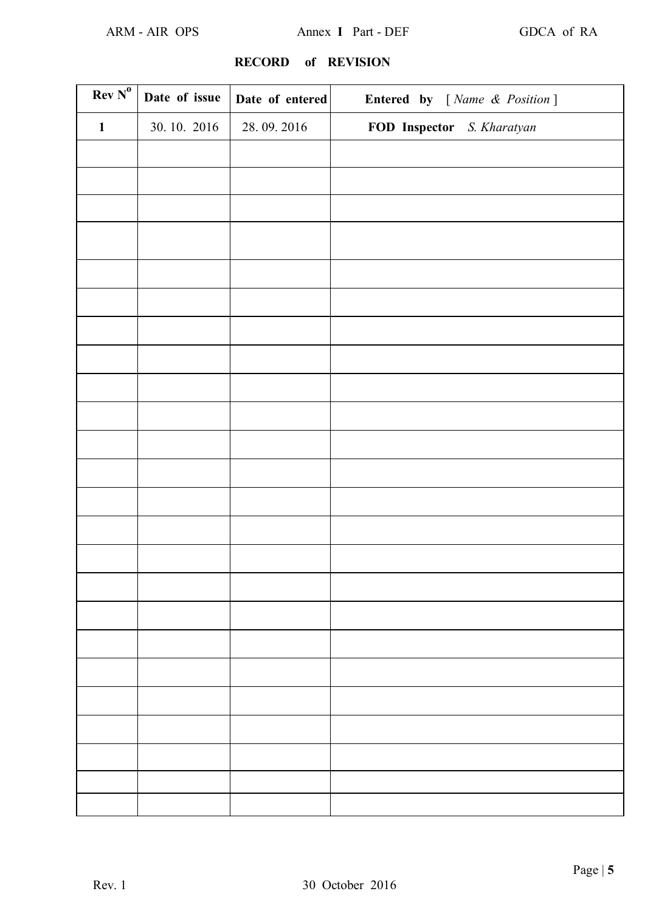# **RECORD of REVISION**

| $\overline{\text{Rev N}^0}$ | Date of issue | Date of entered | Entered by [Name & Position] |
|-----------------------------|---------------|-----------------|------------------------------|
| $\mathbf{1}$                | 30.10.2016    | 28.09.2016      | FOD Inspector S. Kharatyan   |
|                             |               |                 |                              |
|                             |               |                 |                              |
|                             |               |                 |                              |
|                             |               |                 |                              |
|                             |               |                 |                              |
|                             |               |                 |                              |
|                             |               |                 |                              |
|                             |               |                 |                              |
|                             |               |                 |                              |
|                             |               |                 |                              |
|                             |               |                 |                              |
|                             |               |                 |                              |
|                             |               |                 |                              |
|                             |               |                 |                              |
|                             |               |                 |                              |
|                             |               |                 |                              |
|                             |               |                 |                              |
|                             |               |                 |                              |
|                             |               |                 |                              |
|                             |               |                 |                              |
|                             |               |                 |                              |
|                             |               |                 |                              |
|                             |               |                 |                              |
|                             |               |                 |                              |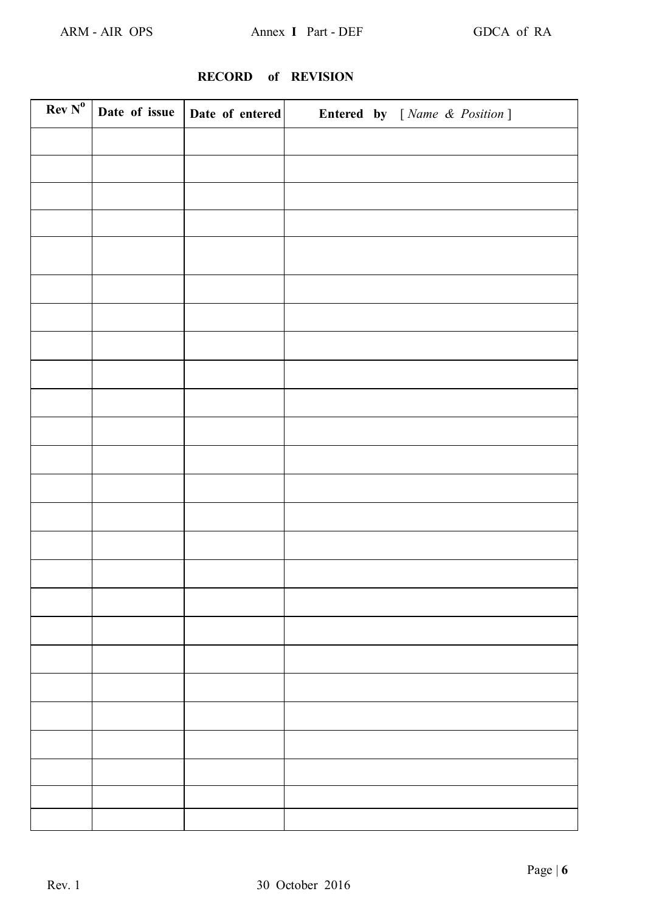| <b>RECORD</b> | of REVISION |
|---------------|-------------|
|               |             |

|  | $\boxed{\mathrm{Rev N}^{\mathrm{o}}$ Date of issue Date of entered | Entered by [Name & Position] |
|--|--------------------------------------------------------------------|------------------------------|
|  |                                                                    |                              |
|  |                                                                    |                              |
|  |                                                                    |                              |
|  |                                                                    |                              |
|  |                                                                    |                              |
|  |                                                                    |                              |
|  |                                                                    |                              |
|  |                                                                    |                              |
|  |                                                                    |                              |
|  |                                                                    |                              |
|  |                                                                    |                              |
|  |                                                                    |                              |
|  |                                                                    |                              |
|  |                                                                    |                              |
|  |                                                                    |                              |
|  |                                                                    |                              |
|  |                                                                    |                              |
|  |                                                                    |                              |
|  |                                                                    |                              |
|  |                                                                    |                              |
|  |                                                                    |                              |
|  |                                                                    |                              |
|  |                                                                    |                              |
|  |                                                                    |                              |
|  |                                                                    |                              |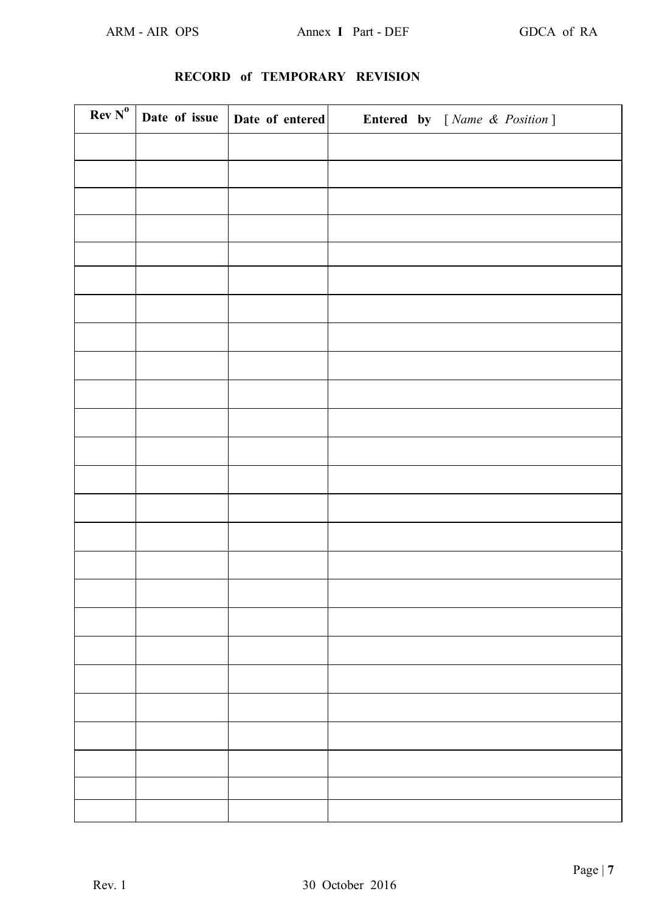# **RECORD of TEMPORARY REVISION**

| $\overline{\text{Rev N}^0}$ | Date of issue   Date of entered | Entered by [Name & Position] |
|-----------------------------|---------------------------------|------------------------------|
|                             |                                 |                              |
|                             |                                 |                              |
|                             |                                 |                              |
|                             |                                 |                              |
|                             |                                 |                              |
|                             |                                 |                              |
|                             |                                 |                              |
|                             |                                 |                              |
|                             |                                 |                              |
|                             |                                 |                              |
|                             |                                 |                              |
|                             |                                 |                              |
|                             |                                 |                              |
|                             |                                 |                              |
|                             |                                 |                              |
|                             |                                 |                              |
|                             |                                 |                              |
|                             |                                 |                              |
|                             |                                 |                              |
|                             |                                 |                              |
|                             |                                 |                              |
|                             |                                 |                              |
|                             |                                 |                              |
|                             |                                 |                              |
|                             |                                 |                              |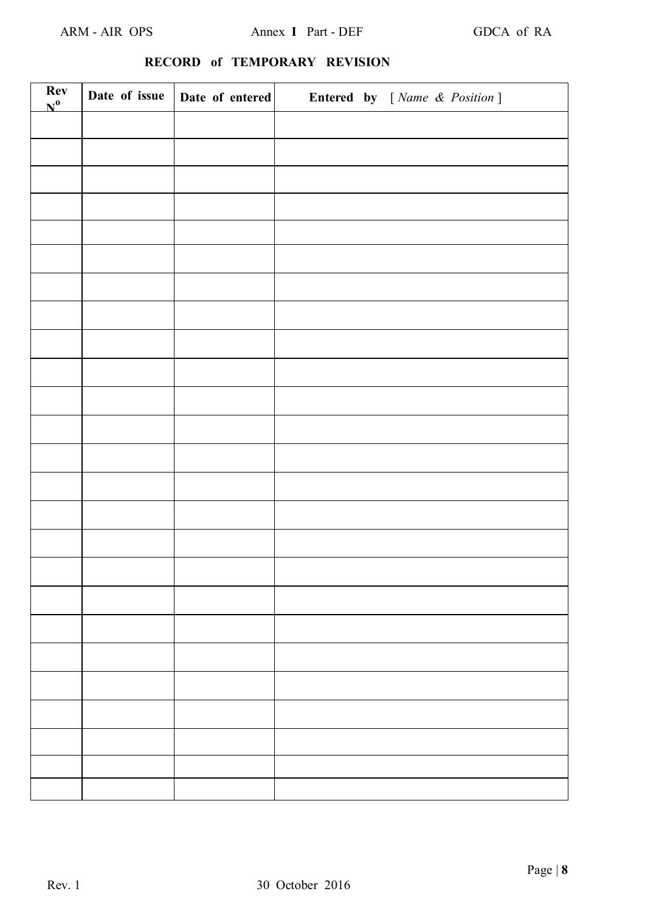# **RECORD of TEMPORARY REVISION**

| <b>Rev</b><br>$\mathbf{N}^{\mathbf{0}}$ | Date of issue | Date of entered | Entered by [Name & Position] |
|-----------------------------------------|---------------|-----------------|------------------------------|
|                                         |               |                 |                              |
|                                         |               |                 |                              |
|                                         |               |                 |                              |
|                                         |               |                 |                              |
|                                         |               |                 |                              |
|                                         |               |                 |                              |
|                                         |               |                 |                              |
|                                         |               |                 |                              |
|                                         |               |                 |                              |
|                                         |               |                 |                              |
|                                         |               |                 |                              |
|                                         |               |                 |                              |
|                                         |               |                 |                              |
|                                         |               |                 |                              |
|                                         |               |                 |                              |
|                                         |               |                 |                              |
|                                         |               |                 |                              |
|                                         |               |                 |                              |
|                                         |               |                 |                              |
|                                         |               |                 |                              |
|                                         |               |                 |                              |
|                                         |               |                 |                              |
|                                         |               |                 |                              |
|                                         |               |                 |                              |
|                                         |               |                 |                              |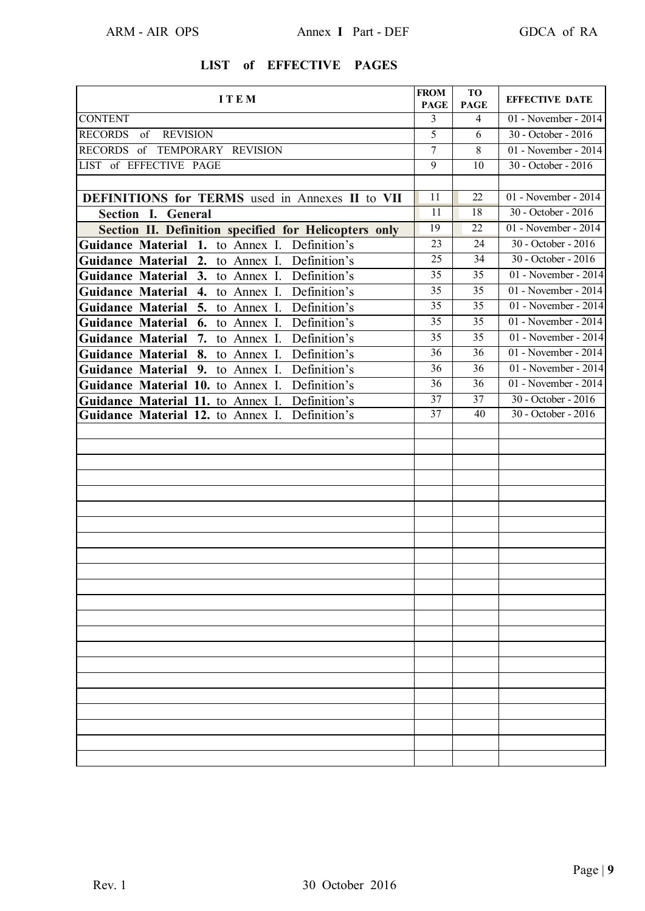| <b>ITEM</b>                                                   | <b>FROM</b><br><b>PAGE</b> | <b>TO</b><br><b>PAGE</b> | <b>EFFECTIVE DATE</b> |
|---------------------------------------------------------------|----------------------------|--------------------------|-----------------------|
| <b>CONTENT</b>                                                | $\mathfrak{Z}$             | 4                        | 01 - November - 2014  |
| <b>RECORDS</b><br><b>REVISION</b><br>of                       | 5                          | 6                        | 30 - October - 2016   |
| RECORDS of<br>TEMPORARY REVISION                              | $\overline{7}$             | 8                        | 01 - November - 2014  |
| LIST of EFFECTIVE PAGE                                        | $\overline{9}$             | 10                       | 30 - October - 2016   |
|                                                               |                            |                          |                       |
| <b>DEFINITIONS for TERMS</b> used in Annexes II to VII        | 11                         | 22                       | 01 - November - 2014  |
| I. General<br><b>Section</b>                                  | 11                         | 18                       | 30 - October - 2016   |
| Section II. Definition specified for Helicopters only         | 19                         | 22                       | 01 - November - 2014  |
| 1.<br>to Annex I. Definition's<br><b>Guidance Material</b>    | 23                         | 24                       | 30 - October - 2016   |
| <b>Guidance Material</b><br>2.<br>to Annex I.<br>Definition's | 25                         | 34                       | 30 - October - 2016   |
| Definition's<br><b>Guidance Material</b><br>3.<br>to Annex I. | $\overline{35}$            | 35                       | 01 - November - 2014  |
| Definition's<br><b>Guidance Material</b><br>to Annex I.<br>4. | 35                         | 35                       | 01 - November - 2014  |
| 5.<br>Definition's<br><b>Guidance Material</b><br>to Annex I. | $\overline{35}$            | $\overline{35}$          | 01 - November - 2014  |
| <b>Guidance Material</b><br>Definition's<br>to Annex I.<br>6. | 35                         | 35                       | 01 - November - 2014  |
| Definition's<br><b>Guidance Material</b><br>to Annex I.<br>7. | 35                         | 35                       | 01 - November - 2014  |
| Definition's<br><b>Guidance Material</b><br>to Annex I.<br>8. | 36                         | 36                       | 01 - November - 2014  |
| <b>Guidance Material</b><br>Definition's<br>9.<br>to Annex I. | 36                         | 36                       | 01 - November - 2014  |
| Guidance Material 10. to Annex I.<br>Definition's             | 36                         | 36                       | 01 - November - 2014  |
| Guidance Material 11. to Annex I.<br>Definition's             | 37                         | 37                       | 30 - October - 2016   |
| Definition's<br>Guidance Material 12. to Annex I.             | 37                         | 40                       | 30 - October - 2016   |
|                                                               |                            |                          |                       |
|                                                               |                            |                          |                       |

# **LIST of EFFECTIVE PAGES**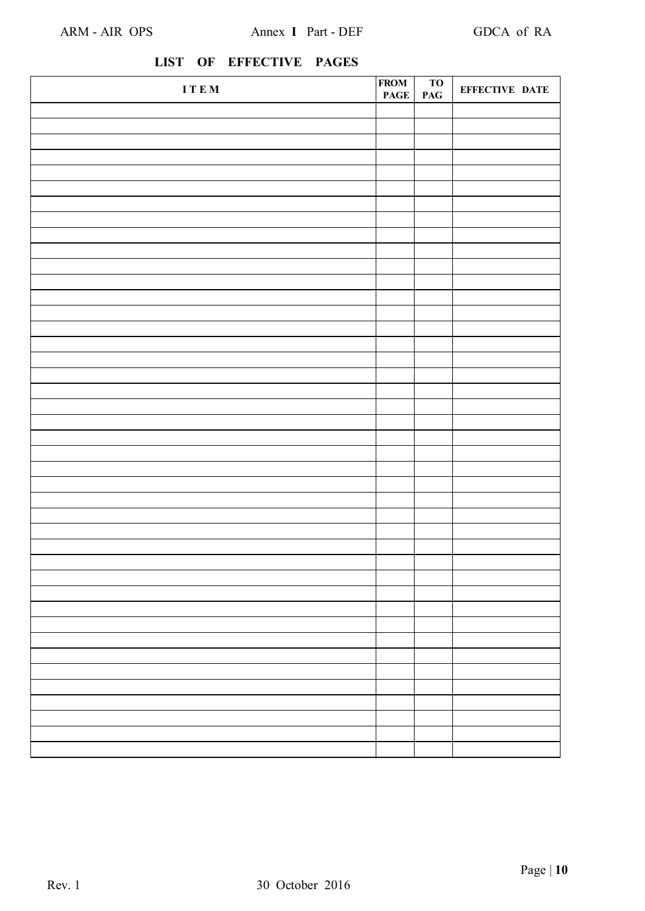| ${\bf I}$ T ${\bf E}$ M | <b>FROM</b><br>$\mathbf{PAGE}$ | <b>TO</b><br>PAG | <b>EFFECTIVE DATE</b> |
|-------------------------|--------------------------------|------------------|-----------------------|
|                         |                                |                  |                       |
|                         |                                |                  |                       |
|                         |                                |                  |                       |
|                         |                                |                  |                       |
|                         |                                |                  |                       |
|                         |                                |                  |                       |
|                         |                                |                  |                       |
|                         |                                |                  |                       |
|                         |                                |                  |                       |
|                         |                                |                  |                       |
|                         |                                |                  |                       |
|                         |                                |                  |                       |
|                         |                                |                  |                       |
|                         |                                |                  |                       |
|                         |                                |                  |                       |
|                         |                                |                  |                       |
|                         |                                |                  |                       |
|                         |                                |                  |                       |
|                         |                                |                  |                       |
|                         |                                |                  |                       |
|                         |                                |                  |                       |
|                         |                                |                  |                       |
|                         |                                |                  |                       |
|                         |                                |                  |                       |
|                         |                                |                  |                       |
|                         |                                |                  |                       |
|                         |                                |                  |                       |
|                         |                                |                  |                       |
|                         |                                |                  |                       |
|                         |                                |                  |                       |
|                         |                                |                  |                       |
|                         |                                |                  |                       |
|                         |                                |                  |                       |
|                         |                                |                  |                       |
|                         |                                |                  |                       |
|                         |                                |                  |                       |
|                         |                                |                  |                       |
|                         |                                |                  |                       |
|                         |                                |                  |                       |
|                         |                                |                  |                       |
|                         |                                |                  |                       |
|                         |                                |                  |                       |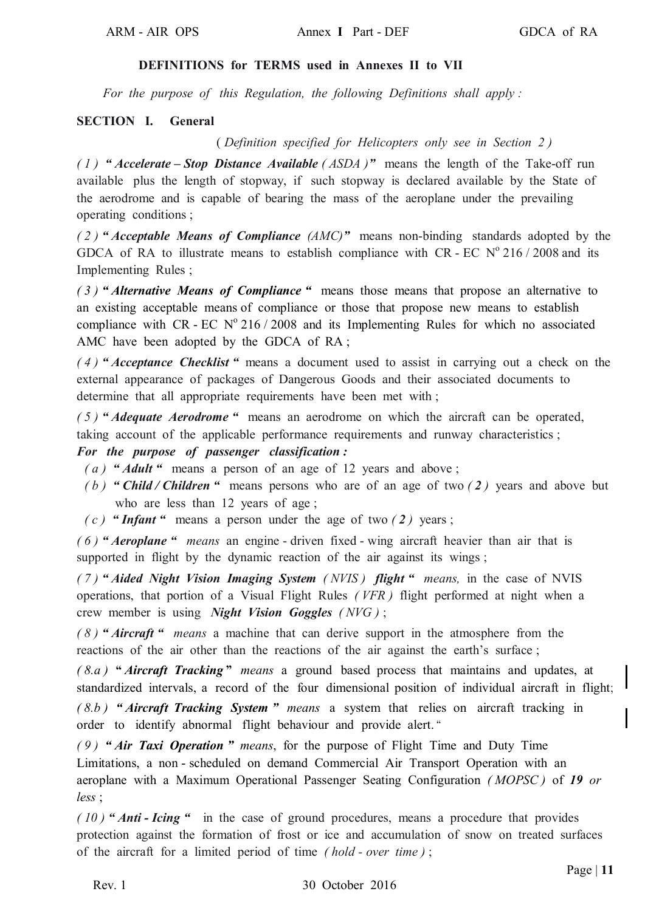## **DEFINITIONS for TERMS used in Annexes II to VII**

*For the purpose of this Regulation, the following Definitions shall apply :* 

## **SECTION I. General**

( *Definition specified for Helicopters only see in Section 2 )*

*( 1 ) " Accelerate – Stop Distance Available ( ASDA )"* means the length of the Take-off run available plus the length of stopway, if such stopway is declared available by the State of the aerodrome and is capable of bearing the mass of the aeroplane under the prevailing operating conditions ;

*( 2 ) " Acceptable Means of Compliance (AMC)"* means non-binding standards adopted by the GDCA of RA to illustrate means to establish compliance with  $CR$  - EC N° 216 / 2008 and its Implementing Rules ;

*( 3 ) " Alternative Means of Compliance "* means those means that propose an alternative to an existing acceptable means of compliance or those that propose new means to establish compliance with CR - EC  $N^{\circ}$  216 / 2008 and its Implementing Rules for which no associated AMC have been adopted by the GDCA of RA ;

*( 4 ) " Acceptance Checklist "* means a document used to assist in carrying out a check on the external appearance of packages of Dangerous Goods and their associated documents to determine that all appropriate requirements have been met with ;

*( 5 ) " Adequate Aerodrome "* means an aerodrome on which the aircraft can be operated, taking account of the applicable performance requirements and runway characteristics ;

# *For the purpose of passenger classification :*

- *( a ) " Adult "* means a person of an age of 12 years and above ;
- *( b ) " Child / Children "* means persons who are of an age of two *( 2 )* years and above but who are less than 12 years of age;
- *(c)* **"Infant**" means a person under the age of two  $(2)$  years;

*( 6 ) " Aeroplane " means* an engine - driven fixed - wing aircraft heavier than air that is supported in flight by the dynamic reaction of the air against its wings;

*( 7 ) " Aided Night Vision Imaging System ( NVIS ) flight " means,* in the case of NVIS operations, that portion of a Visual Flight Rules *( VFR )* flight performed at night when a crew member is using *Night Vision Goggles ( NVG )* ;

*( 8 ) " Aircraft " means* a machine that can derive support in the atmosphere from the reactions of the air other than the reactions of the air against the earth's surface ;

*( 8.a )* **"** *Aircraft Tracking* **"** *means* a ground based process that maintains and updates, at standardized intervals, a record of the four dimensional position of individual aircraft in flight;

*( 8.b ) " Aircraft Tracking System " means* a system that relies on aircraft tracking in order to identify abnormal flight behaviour and provide alert. "

*( 9 ) " Air Taxi Operation " means*, for the purpose of Flight Time and Duty Time Limitations, a non - scheduled on demand Commercial Air Transport Operation with an aeroplane with a Maximum Operational Passenger Seating Configuration *( MOPSC )* of *19 or less* ;

*( 10 ) " Anti - Icing "* in the case of ground procedures, means a procedure that provides protection against the formation of frost or ice and accumulation of snow on treated surfaces of the aircraft for a limited period of time *( hold - over time )* ;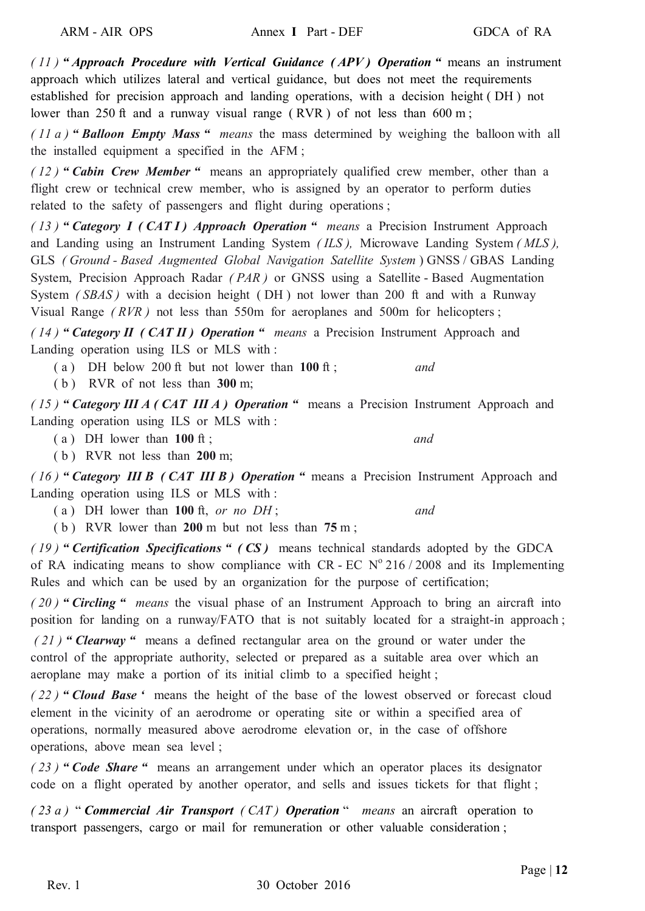*( 11 ) " Approach Procedure with Vertical Guidance ( APV ) Operation "* means an instrument approach which utilizes lateral and vertical guidance, but does not meet the requirements established for precision approach and landing operations, with a decision height ( DH ) not lower than 250 ft and a runway visual range (RVR) of not less than 600 m;

*( 11 a ) " Balloon Empty Mass " means* the mass determined by weighing the balloon with all the installed equipment a specified in the AFM ;

*( 12 ) " Cabin Crew Member "* means an appropriately qualified crew member, other than a flight crew or technical crew member, who is assigned by an operator to perform duties related to the safety of passengers and flight during operations ;

*( 13 ) " Category I ( CAT I ) Approach Operation " means* a Precision Instrument Approach and Landing using an Instrument Landing System *( ILS ),* Microwave Landing System *( MLS ),* GLS *( Ground - Based Augmented Global Navigation Satellite System* ) GNSS / GBAS Landing System, Precision Approach Radar *( PAR )* or GNSS using a Satellite - Based Augmentation System *(SBAS)* with a decision height *(DH)* not lower than 200 ft and with a Runway Visual Range *( RVR )* not less than 550m for aeroplanes and 500m for helicopters ;

*( 14 ) " Category II ( CAT II ) Operation " means* a Precision Instrument Approach and Landing operation using ILS or MLS with :

( a ) DH below 200 ft but not lower than **100** ft ; *and* 

( b ) RVR of not less than **300** m;

*( 15 ) " Category III A ( CAT III A ) Operation "* means a Precision Instrument Approach and Landing operation using ILS or MLS with :

( a ) DH lower than **100** ft ; *and* 

( b ) RVR not less than **200** m;

*( 16 ) " Category III B ( CAT III B ) Operation "* means a Precision Instrument Approach and Landing operation using ILS or MLS with :

( a ) DH lower than **100** ft, *or no DH* ; *and* 

(b) RVR lower than  $200 \text{ m}$  but not less than  $75 \text{ m}$ ;

*( 19 ) " Certification Specifications " ( CS )* means technical standards adopted by the GDCA of RA indicating means to show compliance with CR - EC  $N^{\circ}$  216 / 2008 and its Implementing Rules and which can be used by an organization for the purpose of certification;

*( 20 ) " Circling " means* the visual phase of an Instrument Approach to bring an aircraft into position for landing on a runway/FATO that is not suitably located for a straight-in approach ;

 *( 21 ) " Clearway "* means a defined rectangular area on the ground or water under the control of the appropriate authority, selected or prepared as a suitable area over which an aeroplane may make a portion of its initial climb to a specified height ;

*( 22 ) " Cloud Base '* means the height of the base of the lowest observed or forecast cloud element in the vicinity of an aerodrome or operating site or within a specified area of operations, normally measured above aerodrome elevation or, in the case of offshore operations, above mean sea level ;

*( 23 ) " Code Share "* means an arrangement under which an operator places its designator code on a flight operated by another operator, and sells and issues tickets for that flight ;

*( 23 a )* " *Commercial Air Transport ( CAT ) Operation* " *means* an aircraft operation to transport passengers, cargo or mail for remuneration or other valuable consideration ;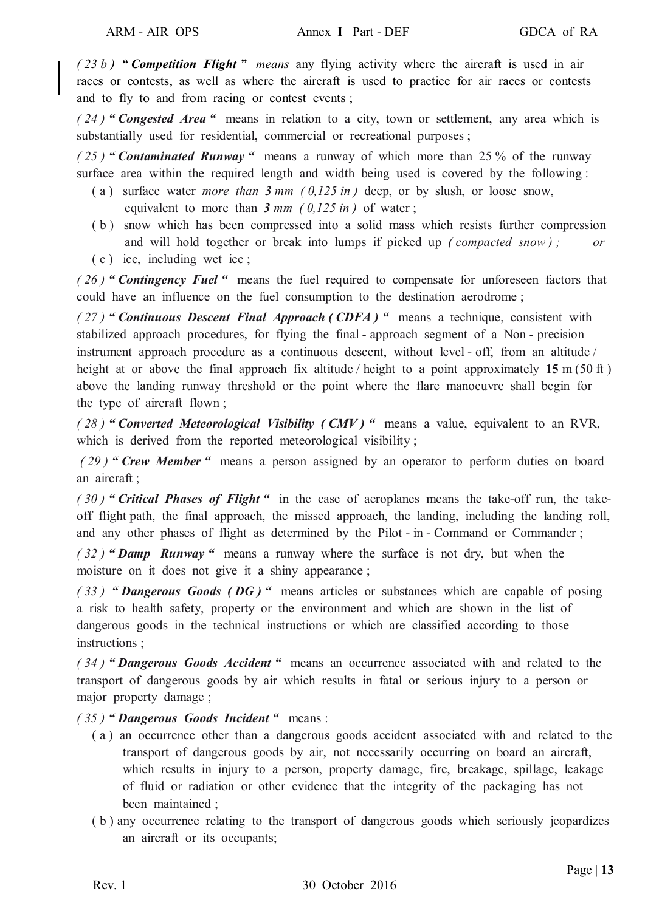*( 23 b ) " Competition Flight " means* any flying activity where the aircraft is used in air races or contests, as well as where the aircraft is used to practice for air races or contests and to fly to and from racing or contest events ;

*( 24 ) " Congested Area "* means in relation to a city, town or settlement, any area which is substantially used for residential, commercial or recreational purposes ;

*( 25 ) " Contaminated Runway "* means a runway of which more than 25 % of the runway surface area within the required length and width being used is covered by the following :

- (a) surface water *more than*  $3 \text{ mm}$  (0,125 in) deep, or by slush, or loose snow, equivalent to more than  $3 \, mm$  (  $0.125 \, in$  ) of water;
- ( b ) snow which has been compressed into a solid mass which resists further compression and will hold together or break into lumps if picked up *( compacted snow ) ; or*
- ( c ) ice, including wet ice ;

*( 26 ) " Contingency Fuel "* means the fuel required to compensate for unforeseen factors that could have an influence on the fuel consumption to the destination aerodrome ;

*( 27 ) " Continuous Descent Final Approach ( CDFA ) "* means a technique, consistent with stabilized approach procedures, for flying the final - approach segment of a Non - precision instrument approach procedure as a continuous descent, without level - off, from an altitude / height at or above the final approach fix altitude / height to a point approximately 15 m (50 ft) above the landing runway threshold or the point where the flare manoeuvre shall begin for the type of aircraft flown ;

*( 28 ) " Converted Meteorological Visibility ( CMV ) "* means a value, equivalent to an RVR, which is derived from the reported meteorological visibility;

 *( 29 ) " Crew Member "* means a person assigned by an operator to perform duties on board an aircraft ;

*( 30 ) " Critical Phases of Flight "* in the case of aeroplanes means the take-off run, the takeoff flight path, the final approach, the missed approach, the landing, including the landing roll, and any other phases of flight as determined by the Pilot - in - Command or Commander ;

*( 32 ) " Damp Runway "* means a runway where the surface is not dry, but when the moisture on it does not give it a shiny appearance ;

*( 33 ) " Dangerous Goods ( DG ) "* means articles or substances which are capable of posing a risk to health safety, property or the environment and which are shown in the list of dangerous goods in the technical instructions or which are classified according to those instructions ;

*( 34 ) " Dangerous Goods Accident "* means an occurrence associated with and related to the transport of dangerous goods by air which results in fatal or serious injury to a person or major property damage ;

*( 35 ) " Dangerous Goods Incident "* means :

- ( a ) an occurrence other than a dangerous goods accident associated with and related to the transport of dangerous goods by air, not necessarily occurring on board an aircraft, which results in injury to a person, property damage, fire, breakage, spillage, leakage of fluid or radiation or other evidence that the integrity of the packaging has not been maintained ;
- ( b ) any occurrence relating to the transport of dangerous goods which seriously jeopardizes an aircraft or its occupants;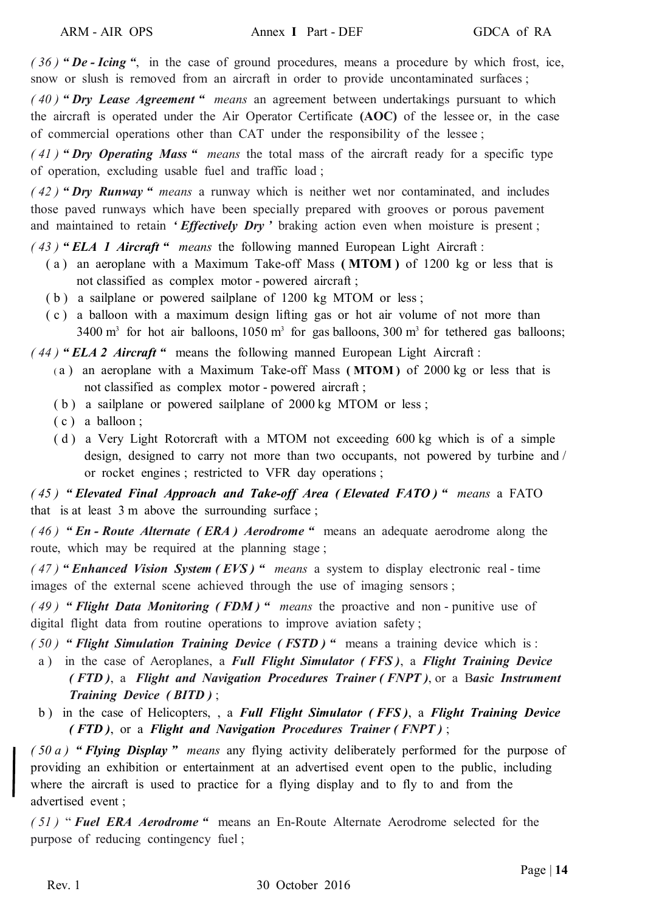*( 36 ) " De - Icing "*, in the case of ground procedures, means a procedure by which frost, ice, snow or slush is removed from an aircraft in order to provide uncontaminated surfaces ;

*( 40 ) " Dry Lease Agreement " means* an agreement between undertakings pursuant to which the aircraft is operated under the Air Operator Certificate **(AOC)** of the lessee or, in the case of commercial operations other than CAT under the responsibility of the lessee ;

*( 41 ) " Dry Operating Mass " means* the total mass of the aircraft ready for a specific type of operation, excluding usable fuel and traffic load ;

*( 42 ) " Dry Runway " means* a runway which is neither wet nor contaminated, and includes those paved runways which have been specially prepared with grooves or porous pavement and maintained to retain *'Effectively Dry'* braking action even when moisture is present;

*( 43 ) " ELA 1 Aircraft " means* the following manned European Light Aircraft :

- ( a ) an aeroplane with a Maximum Take-off Mass **( MTOM )** of 1200 kg or less that is not classified as complex motor - powered aircraft ;
- (b) a sailplane or powered sailplane of 1200 kg MTOM or less;
- ( c ) a balloon with a maximum design lifting gas or hot air volume of not more than  $3400 \text{ m}^3$  for hot air balloons,  $1050 \text{ m}^3$  for gas balloons,  $300 \text{ m}^3$  for tethered gas balloons;

*( 44 ) " ELA 2 Aircraft "* means the following manned European Light Aircraft :

- ( a ) an aeroplane with a Maximum Take-off Mass **( MTOM )** of 2000 kg or less that is not classified as complex motor - powered aircraft ;
- (b) a sailplane or powered sailplane of 2000 kg MTOM or less;
- ( c ) a balloon ;
- ( d ) a Very Light Rotorcraft with a MTOM not exceeding 600 kg which is of a simple design, designed to carry not more than two occupants, not powered by turbine and / or rocket engines ; restricted to VFR day operations ;

*( 45 ) " Elevated Final Approach and Take-off Area ( Elevated FATO ) " means* a FATO that is at least 3 m above the surrounding surface ;

*( 46 ) " En - Route Alternate ( ERA ) Aerodrome "* means an adequate aerodrome along the route, which may be required at the planning stage;

*( 47 ) " Enhanced Vision System ( EVS ) " means* a system to display electronic real - time images of the external scene achieved through the use of imaging sensors ;

*( 49 ) " Flight Data Monitoring ( FDM ) " means* the proactive and non - punitive use of digital flight data from routine operations to improve aviation safety ;

- *( 50 ) " Flight Simulation Training Device ( FSTD ) "* means a training device which is :
	- a ) in the case of Aeroplanes, a *Full Flight Simulator ( FFS )*, a *Flight Training Device ( FTD )*, a *Flight and Navigation Procedures Trainer ( FNPT )*, or a B*asic Instrument Training Device ( BITD )* ;
	- b ) in the case of Helicopters, , a *Full Flight Simulator ( FFS )*, a *Flight Training Device ( FTD )*, or a *Flight and Navigation Procedures Trainer ( FNPT )* ;

*( 50 a ) " Flying Display " means* any flying activity deliberately performed for the purpose of providing an exhibition or entertainment at an advertised event open to the public, including where the aircraft is used to practice for a flying display and to fly to and from the advertised event ;

*( 51 )* " *Fuel ERA Aerodrome "* means an En-Route Alternate Aerodrome selected for the purpose of reducing contingency fuel ;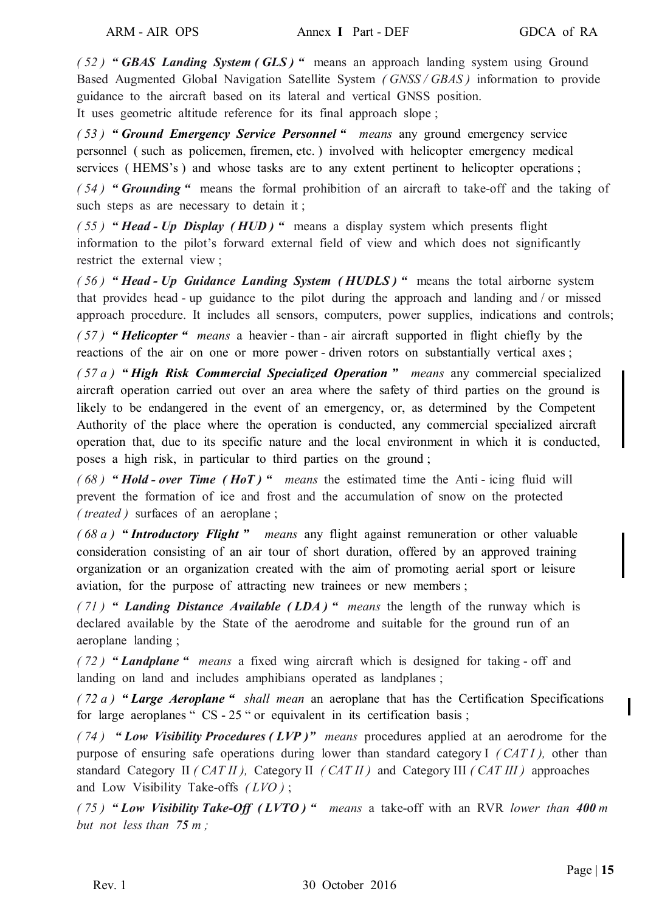*( 52 ) " GBAS Landing System ( GLS ) "* means an approach landing system using Ground Based Augmented Global Navigation Satellite System *( GNSS / GBAS )* information to provide guidance to the aircraft based on its lateral and vertical GNSS position. It uses geometric altitude reference for its final approach slope ;

*( 53 ) " Ground Emergency Service Personnel " means* any ground emergency service personnel ( such as policemen, firemen, etc. ) involved with helicopter emergency medical services ( HEMS's ) and whose tasks are to any extent pertinent to helicopter operations;

*( 54 ) " Grounding "* means the formal prohibition of an aircraft to take-off and the taking of such steps as are necessary to detain it;

*( 55 ) " Head - Up Display ( HUD ) "* means a display system which presents flight information to the pilot's forward external field of view and which does not significantly restrict the external view ;

*( 56 ) " Head - Up Guidance Landing System ( HUDLS ) "* means the total airborne system that provides head - up guidance to the pilot during the approach and landing and / or missed approach procedure. It includes all sensors, computers, power supplies, indications and controls; *( 57 ) " Helicopter " means* a heavier - than - air aircraft supported in flight chiefly by the

reactions of the air on one or more power - driven rotors on substantially vertical axes ;

*( 57 a ) " High Risk Commercial Specialized Operation " means* any commercial specialized aircraft operation carried out over an area where the safety of third parties on the ground is likely to be endangered in the event of an emergency, or, as determined by the Competent Authority of the place where the operation is conducted, any commercial specialized aircraft operation that, due to its specific nature and the local environment in which it is conducted, poses a high risk, in particular to third parties on the ground ;

*( 68 ) " Hold - over Time ( HoT ) " means* the estimated time the Anti - icing fluid will prevent the formation of ice and frost and the accumulation of snow on the protected *( treated )* surfaces of an aeroplane ;

*( 68 a ) " Introductory Flight " means* any flight against remuneration or other valuable consideration consisting of an air tour of short duration, offered by an approved training organization or an organization created with the aim of promoting aerial sport or leisure aviation, for the purpose of attracting new trainees or new members ;

*( 71 ) " Landing Distance Available ( LDA ) " means* the length of the runway which is declared available by the State of the aerodrome and suitable for the ground run of an aeroplane landing ;

*( 72 ) " Landplane " means* a fixed wing aircraft which is designed for taking - off and landing on land and includes amphibians operated as landplanes ;

*( 72 a ) " Large Aeroplane " shall mean* an aeroplane that has the Certification Specifications for large aeroplanes " CS - 25 " or equivalent in its certification basis;

*( 74 ) " Low Visibility Procedures ( LVP )" means* procedures applied at an aerodrome for the purpose of ensuring safe operations during lower than standard category I *( CAT I ),* other than standard Category II *( CAT II ),* Category II *( CAT II )* and Category III *( CAT III )* approaches and Low Visibility Take-offs *( LVO )* ;

*( 75 ) " Low Visibility Take-Off ( LVTO ) " means* a take-off with an RVR *lower than 400 m but not less than 75 m ;*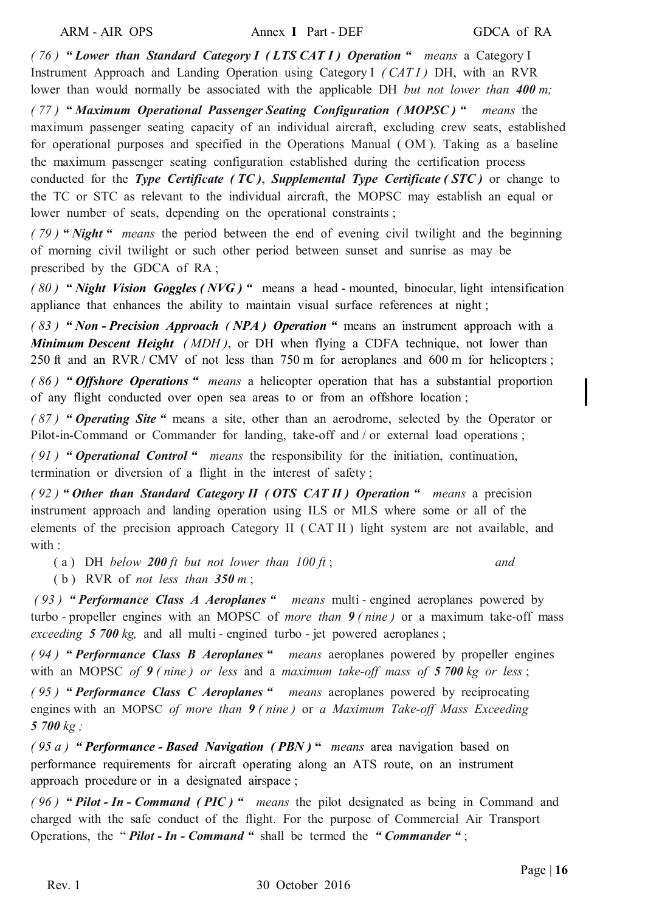*( 76 ) " Lower than Standard Category I ( LTS CAT I ) Operation " means* a Category I Instrument Approach and Landing Operation using Category I *( CAT I )* DH, with an RVR lower than would normally be associated with the applicable DH *but not lower than* 400 m;

*( 77 ) " Maximum Operational Passenger Seating Configuration ( MOPSC ) " means* the maximum passenger seating capacity of an individual aircraft, excluding crew seats, established for operational purposes and specified in the Operations Manual ( OM ). Taking as a baseline the maximum passenger seating configuration established during the certification process conducted for the *Type Certificate ( TC )*, *Supplemental Type Certificate ( STC )* or change to the TC or STC as relevant to the individual aircraft, the MOPSC may establish an equal or lower number of seats, depending on the operational constraints ;

*( 79 ) " Night " means* the period between the end of evening civil twilight and the beginning of morning civil twilight or such other period between sunset and sunrise as may be prescribed by the GDCA of RA ;

*( 80 ) " Night Vision Goggles ( NVG ) "* means a head - mounted, binocular, light intensification appliance that enhances the ability to maintain visual surface references at night ;

*( 83 ) " Non - Precision Approach ( NPA ) Operation "* means an instrument approach with a *Minimum Descent Height (MDH)*, or DH when flying a CDFA technique, not lower than 250 ft and an RVR / CMV of not less than 750 m for aeroplanes and 600 m for helicopters ;

*( 86 ) " Offshore Operations " means* a helicopter operation that has a substantial proportion of any flight conducted over open sea areas to or from an offshore location ;

*( 87 ) " Operating Site "* means a site, other than an aerodrome, selected by the Operator or Pilot-in-Command or Commander for landing, take-off and / or external load operations;

*( 91 ) " Operational Control " means* the responsibility for the initiation, continuation, termination or diversion of a flight in the interest of safety ;

*( 92 ) " Other than Standard Category II ( OTS CAT II ) Operation " means* a precision instrument approach and landing operation using ILS or MLS where some or all of the elements of the precision approach Category II ( CAT II ) light system are not available, and with :

( a ) DH *below 200 ft but not lower than 100 ft* ; *and* 

(b) RVR of *not less than*  $350 m$ ;

 *( 93 ) " Performance Class A Aeroplanes " means* multi - engined aeroplanes powered by turbo - propeller engines with an MOPSC of *more than 9 ( nine )* or a maximum take-off mass *exceeding 5 700 kg,* and all multi - engined turbo - jet powered aeroplanes ;

*( 94 ) " Performance Class B Aeroplanes " means* aeroplanes powered by propeller engines with an MOPSC *of 9 ( nine ) or less* and a *maximum take-off mass of 5 700 kg or less* ;

*( 95 ) " Performance Class C Aeroplanes " means* aeroplanes powered by reciprocating engines with an MOPSC *of more than 9 ( nine )* or *a Maximum Take-off Mass Exceeding 5 700 kg ;* 

*( 95 a ) " Performance - Based Navigation**( PBN )* **"** *means* area navigation based on performance requirements for aircraft operating along an ATS route, on an instrument approach procedure or in a designated airspace ;

*( 96 ) " Pilot - In - Command ( PIC ) " means* the pilot designated as being in Command and charged with the safe conduct of the flight. For the purpose of Commercial Air Transport Operations, the " *Pilot - In - Command "* shall be termed the *" Commander "* ;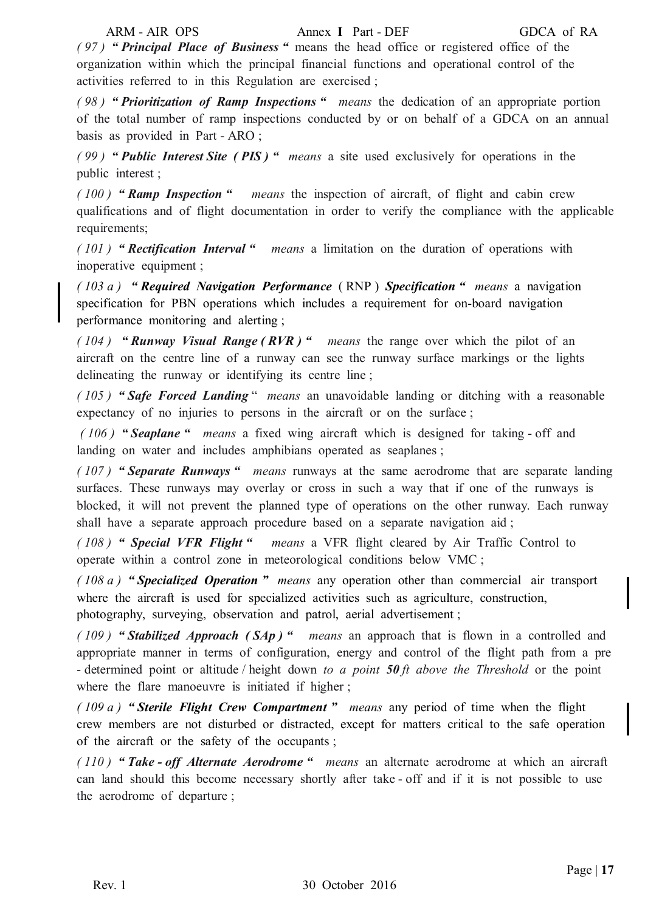ARM - AIR OPSAnnex **I** Part - DEFGDCA of RA

*( 97 ) " Principal Place of Business "* means the head office or registered office of the organization within which the principal financial functions and operational control of the activities referred to in this Regulation are exercised ;

*( 98 ) " Prioritization of Ramp Inspections " means* the dedication of an appropriate portion of the total number of ramp inspections conducted by or on behalf of a GDCA on an annual basis as provided in Part - ARO ;

*( 99 ) " Public Interest Site ( PIS ) " means* a site used exclusively for operations in the public interest ;

*( 100 ) " Ramp Inspection " means* the inspection of aircraft, of flight and cabin crew qualifications and of flight documentation in order to verify the compliance with the applicable requirements;

*( 101 ) " Rectification Interval " means* a limitation on the duration of operations with inoperative equipment ;

*( 103 a ) " Required Navigation Performance* ( RNP ) *Specification " means* a navigation specification for PBN operations which includes a requirement for on-board navigation performance monitoring and alerting ;

*( 104 ) " Runway Visual Range ( RVR ) " means* the range over which the pilot of an aircraft on the centre line of a runway can see the runway surface markings or the lights delineating the runway or identifying its centre line ;

*( 105 ) " Safe Forced Landing* " *means* an unavoidable landing or ditching with a reasonable expectancy of no injuries to persons in the aircraft or on the surface;

 *( 106 ) " Seaplane " means* a fixed wing aircraft which is designed for taking - off and landing on water and includes amphibians operated as seaplanes ;

*( 107 ) " Separate Runways " means* runways at the same aerodrome that are separate landing surfaces. These runways may overlay or cross in such a way that if one of the runways is blocked, it will not prevent the planned type of operations on the other runway. Each runway shall have a separate approach procedure based on a separate navigation aid ;

*( 108 ) " Special VFR Flight " means* a VFR flight cleared by Air Traffic Control to operate within a control zone in meteorological conditions below VMC ;

*( 108 a ) " Specialized Operation " means* any operation other than commercial air transport where the aircraft is used for specialized activities such as agriculture, construction, photography, surveying, observation and patrol, aerial advertisement ;

*( 109 ) " Stabilized Approach ( SAp ) " means* an approach that is flown in a controlled and appropriate manner in terms of configuration, energy and control of the flight path from a pre - determined point or altitude / height down *to a point 50 ft above the Threshold* or the point where the flare manoeuvre is initiated if higher;

*( 109 a ) " Sterile Flight Crew Compartment " means* any period of time when the flight crew members are not disturbed or distracted, except for matters critical to the safe operation of the aircraft or the safety of the occupants ;

*( 110 ) " Take - off Alternate Aerodrome " means* an alternate aerodrome at which an aircraft can land should this become necessary shortly after take - off and if it is not possible to use the aerodrome of departure ;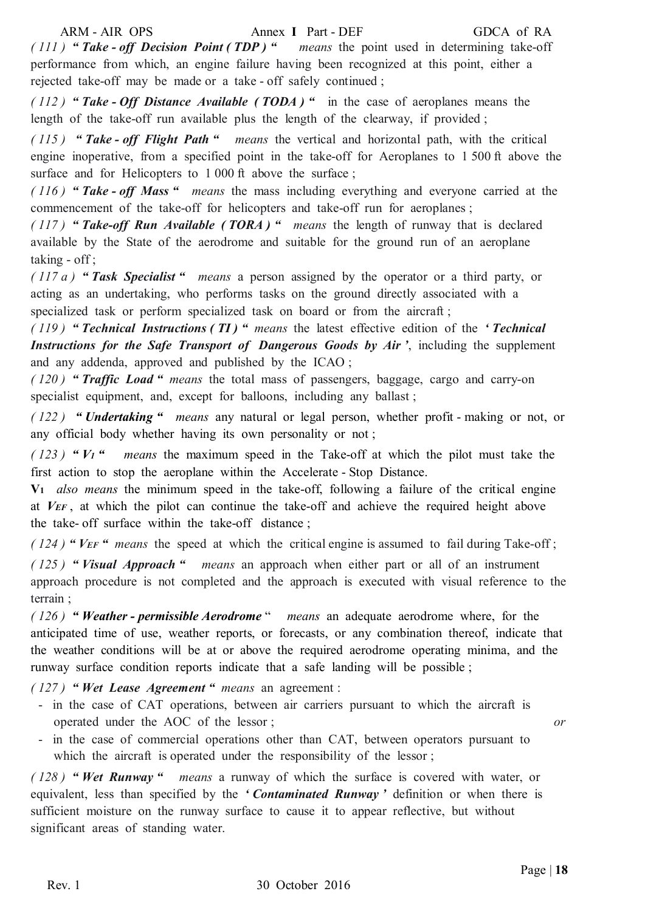ARM - AIR OPSAnnex **I** Part - DEFGDCA of RA *( 111 ) " Take - off Decision Point ( TDP ) " means* the point used in determining take-off performance from which, an engine failure having been recognized at this point, either a

rejected take-off may be made or a take - off safely continued ;

*( 112 ) " Take - Off Distance Available ( TODA ) "* in the case of aeroplanes means the length of the take-off run available plus the length of the clearway, if provided ;

*( 115 ) " Take - off Flight Path " means* the vertical and horizontal path, with the critical engine inoperative, from a specified point in the take-off for Aeroplanes to 1 500 ft above the surface and for Helicopters to 1 000 ft above the surface ;

*( 116 ) " Take - off Mass " means* the mass including everything and everyone carried at the commencement of the take-off for helicopters and take-off run for aeroplanes ;

*( 117 ) " Take-off Run Available ( TORA ) " means* the length of runway that is declared available by the State of the aerodrome and suitable for the ground run of an aeroplane taking  $-$  off ;

*( 117 a ) " Task Specialist " means* a person assigned by the operator or a third party, or acting as an undertaking, who performs tasks on the ground directly associated with a specialized task or perform specialized task on board or from the aircraft ;

*( 119 ) " Technical Instructions ( TI ) " means* the latest effective edition of the *' Technical Instructions for the Safe Transport of Dangerous Goods by Air '*, including the supplement and any addenda, approved and published by the ICAO ;

*( 120 ) " Traffic Load " means* the total mass of passengers, baggage, cargo and carry-on specialist equipment, and, except for balloons, including any ballast;

*( 122 ) " Undertaking " means* any natural or legal person, whether profit - making or not, or any official body whether having its own personality or not ;

 $(123)$  " $V_1$ " *means* the maximum speed in the Take-off at which the pilot must take the first action to stop the aeroplane within the Accelerate - Stop Distance.

**V<sup>1</sup>** *also means* the minimum speed in the take-off, following a failure of the critical engine at *VEF* , at which the pilot can continue the take-off and achieve the required height above the take- off surface within the take-off distance ;

*( 124 ) " VEF " means* the speed at which the critical engine is assumed to fail during Take-off ;

*( 125 ) " Visual Approach " means* an approach when either part or all of an instrument approach procedure is not completed and the approach is executed with visual reference to the terrain ;

*( 126 ) " Weather - permissible Aerodrome* " *means* an adequate aerodrome where, for the anticipated time of use, weather reports, or forecasts, or any combination thereof, indicate that the weather conditions will be at or above the required aerodrome operating minima, and the runway surface condition reports indicate that a safe landing will be possible ;

*( 127 ) " Wet Lease Agreement " means* an agreement :

- in the case of CAT operations, between air carriers pursuant to which the aircraft is operated under the AOC of the lessor ; *or*
- in the case of commercial operations other than CAT, between operators pursuant to which the aircraft is operated under the responsibility of the lessor:

*( 128 ) " Wet Runway " means* a runway of which the surface is covered with water, or equivalent, less than specified by the *' Contaminated Runway '* definition or when there is sufficient moisture on the runway surface to cause it to appear reflective, but without significant areas of standing water.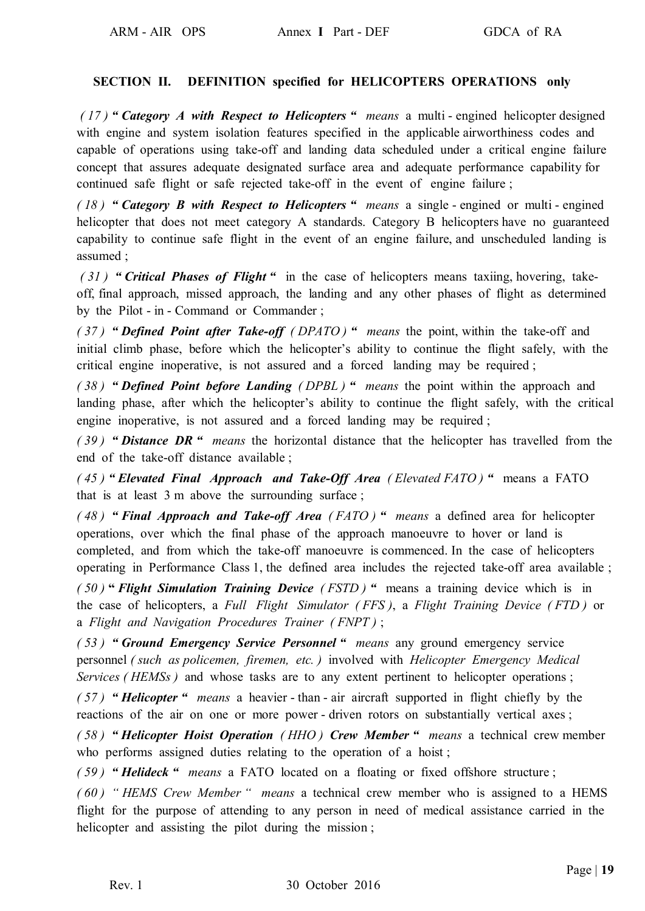## **SECTION II. DEFINITION specified for HELICOPTERS OPERATIONS only**

 *( 17 ) " Category A with Respect to Helicopters " means* a multi - engined helicopter designed with engine and system isolation features specified in the applicable airworthiness codes and capable of operations using take-off and landing data scheduled under a critical engine failure concept that assures adequate designated surface area and adequate performance capability for continued safe flight or safe rejected take-off in the event of engine failure ;

*( 18 ) " Category B with Respect to Helicopters " means* a single - engined or multi - engined helicopter that does not meet category A standards. Category B helicopters have no guaranteed capability to continue safe flight in the event of an engine failure, and unscheduled landing is assumed ;

 *( 31 ) " Critical Phases of Flight "* in the case of helicopters means taxiing, hovering, takeoff, final approach, missed approach, the landing and any other phases of flight as determined by the Pilot - in - Command or Commander ;

*( 37 ) " Defined Point after Take-off ( DPATO ) " means* the point, within the take-off and initial climb phase, before which the helicopter's ability to continue the flight safely, with the critical engine inoperative, is not assured and a forced landing may be required ;

*( 38 ) " Defined Point before Landing ( DPBL ) " means* the point within the approach and landing phase, after which the helicopter's ability to continue the flight safely, with the critical engine inoperative, is not assured and a forced landing may be required ;

*( 39 ) " Distance DR " means* the horizontal distance that the helicopter has travelled from the end of the take-off distance available ;

*( 45 ) " Elevated Final Approach and Take-Off Area ( Elevated FATO ) "* means a FATO that is at least 3 m above the surrounding surface ;

*( 48 ) " Final Approach and Take-off Area ( FATO ) " means* a defined area for helicopter operations, over which the final phase of the approach manoeuvre to hover or land is completed, and from which the take-off manoeuvre is commenced. In the case of helicopters operating in Performance Class 1, the defined area includes the rejected take-off area available ;

*( 50 )* **"** *Flight Simulation Training Device ( FSTD ) "* means a training device which is in the case of helicopters, a *Full Flight Simulator ( FFS )*, a *Flight Training Device ( FTD )* or a *Flight and Navigation Procedures Trainer ( FNPT )* ;

*( 53 ) " Ground Emergency Service Personnel " means* any ground emergency service personnel *( such as policemen, firemen, etc. )* involved with *Helicopter Emergency Medical Services (HEMSs)* and whose tasks are to any extent pertinent to helicopter operations;

*( 57 ) " Helicopter " means* a heavier - than - air aircraft supported in flight chiefly by the reactions of the air on one or more power - driven rotors on substantially vertical axes ;

*( 58 ) " Helicopter Hoist Operation ( HHO ) Crew Member " means* a technical crew member who performs assigned duties relating to the operation of a hoist ;

*( 59 ) " Helideck " means* a FATO located on a floating or fixed offshore structure ;

*( 60 ) " HEMS Crew Member " means* a technical crew member who is assigned to a HEMS flight for the purpose of attending to any person in need of medical assistance carried in the helicopter and assisting the pilot during the mission;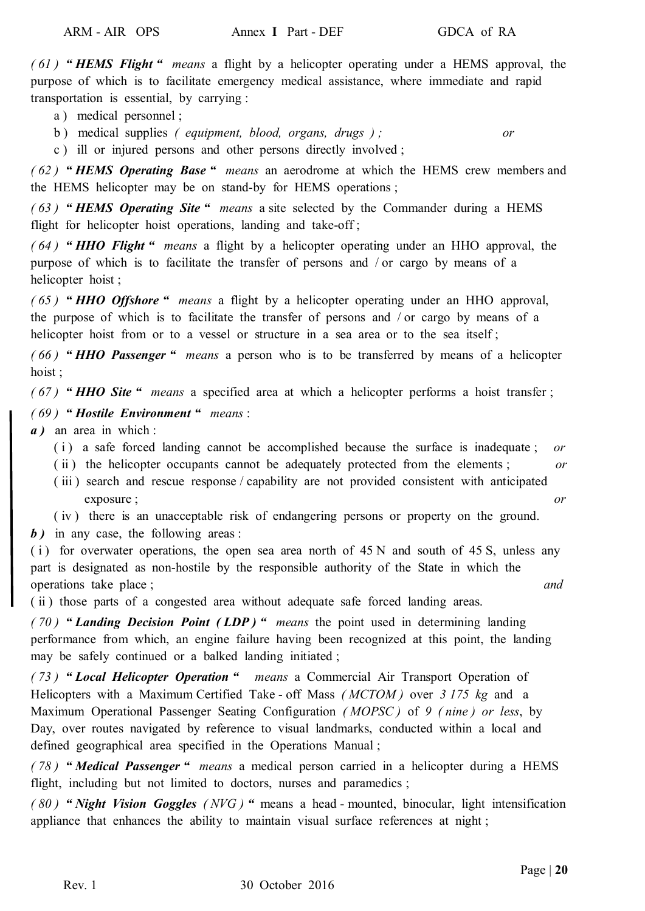*( 61 ) " HEMS Flight " means* a flight by a helicopter operating under a HEMS approval, the purpose of which is to facilitate emergency medical assistance, where immediate and rapid transportation is essential, by carrying :

- a ) medical personnel ;
- b ) medical supplies *( equipment, blood, organs, drugs ) ; or*

c ) ill or injured persons and other persons directly involved ;

*( 62 ) " HEMS Operating Base " means* an aerodrome at which the HEMS crew members and the HEMS helicopter may be on stand-by for HEMS operations ;

*( 63 ) " HEMS Operating Site " means* a site selected by the Commander during a HEMS flight for helicopter hoist operations, landing and take-off;

*( 64 ) " HHO Flight " means* a flight by a helicopter operating under an HHO approval, the purpose of which is to facilitate the transfer of persons and / or cargo by means of a helicopter hoist ;

*( 65 ) " HHO Offshore " means* a flight by a helicopter operating under an HHO approval, the purpose of which is to facilitate the transfer of persons and / or cargo by means of a helicopter hoist from or to a vessel or structure in a sea area or to the sea itself;

*( 66 ) " HHO Passenger " means* a person who is to be transferred by means of a helicopter hoist ;

*( 67 ) " HHO Site " means* a specified area at which a helicopter performs a hoist transfer ;

*( 69 ) " Hostile Environment " means* :

*a )* an area in which :

- ( i ) a safe forced landing cannot be accomplished because the surface is inadequate ; *or*
- ( ii ) the helicopter occupants cannot be adequately protected from the elements ; *or*
- ( iii ) search and rescue response / capability are not provided consistent with anticipated exposure ; *or*

( iv ) there is an unacceptable risk of endangering persons or property on the ground. *b )* in any case, the following areas :

 $(i)$  for overwater operations, the open sea area north of 45 N and south of 45 S, unless any part is designated as non-hostile by the responsible authority of the State in which the operations take place ; *and* 

( ii ) those parts of a congested area without adequate safe forced landing areas.

*( 70 ) " Landing Decision Point ( LDP ) " means* the point used in determining landing performance from which, an engine failure having been recognized at this point, the landing may be safely continued or a balked landing initiated ;

*( 73 ) " Local Helicopter Operation " means* a Commercial Air Transport Operation of Helicopters with a Maximum Certified Take - off Mass *( MCTOM )* over *3 175 kg* and a Maximum Operational Passenger Seating Configuration *( MOPSC )* of *9 ( nine ) or less*, by Day, over routes navigated by reference to visual landmarks, conducted within a local and defined geographical area specified in the Operations Manual ;

*( 78 ) " Medical Passenger " means* a medical person carried in a helicopter during a HEMS flight, including but not limited to doctors, nurses and paramedics ;

*( 80 ) " Night Vision Goggles ( NVG ) "* means a head - mounted, binocular, light intensification appliance that enhances the ability to maintain visual surface references at night ;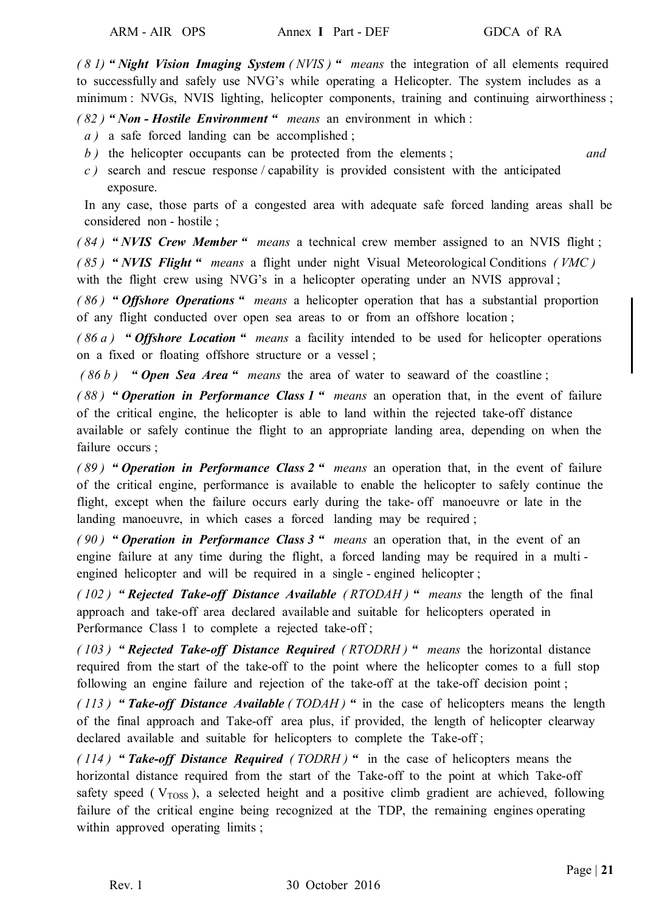*( 8 1) " Night Vision Imaging System ( NVIS ) " means* the integration of all elements required to successfully and safely use NVG's while operating a Helicopter. The system includes as a minimum : NVGs, NVIS lighting, helicopter components, training and continuing airworthiness;

*( 82 ) " Non - Hostile Environment " means* an environment in which :

- *a )* a safe forced landing can be accomplished ;
- *b )* the helicopter occupants can be protected from the elements ; *and*
- *c )* search and rescue response / capability is provided consistent with the anticipated exposure.

In any case, those parts of a congested area with adequate safe forced landing areas shall be considered non - hostile ;

*( 84 ) " NVIS Crew Member " means* a technical crew member assigned to an NVIS flight ;

*( 85 ) " NVIS Flight " means* a flight under night Visual Meteorological Conditions *( VMC )* with the flight crew using NVG's in a helicopter operating under an NVIS approval;

*( 86 ) " Offshore Operations " means* a helicopter operation that has a substantial proportion of any flight conducted over open sea areas to or from an offshore location ;

*( 86 a ) " Offshore Location " means* a facility intended to be used for helicopter operations on a fixed or floating offshore structure or a vessel ;

 *( 86 b ) " Open Sea Area " means* the area of water to seaward of the coastline ;

*( 88 ) " Operation in Performance Class 1 " means* an operation that, in the event of failure of the critical engine, the helicopter is able to land within the rejected take-off distance available or safely continue the flight to an appropriate landing area, depending on when the failure occurs :

*( 89 ) " Operation in Performance Class 2 " means* an operation that, in the event of failure of the critical engine, performance is available to enable the helicopter to safely continue the flight, except when the failure occurs early during the take- off manoeuvre or late in the landing manoeuvre, in which cases a forced landing may be required ;

*( 90 ) " Operation in Performance Class 3 " means* an operation that, in the event of an engine failure at any time during the flight, a forced landing may be required in a multi engined helicopter and will be required in a single - engined helicopter ;

*( 102 ) " Rejected Take-off Distance Available ( RTODAH ) " means* the length of the final approach and take-off area declared available and suitable for helicopters operated in Performance Class 1 to complete a rejected take-off;

*( 103 ) " Rejected Take-off Distance Required ( RTODRH ) " means* the horizontal distance required from the start of the take-off to the point where the helicopter comes to a full stop following an engine failure and rejection of the take-off at the take-off decision point;

*( 113 ) " Take-off Distance Available ( TODAH ) "* in the case of helicopters means the length of the final approach and Take-off area plus, if provided, the length of helicopter clearway declared available and suitable for helicopters to complete the Take-off ;

*( 114 ) " Take-off Distance Required ( TODRH ) "* in the case of helicopters means the horizontal distance required from the start of the Take-off to the point at which Take-off safety speed ( $V<sub>TOSS</sub>$ ), a selected height and a positive climb gradient are achieved, following failure of the critical engine being recognized at the TDP, the remaining engines operating within approved operating limits;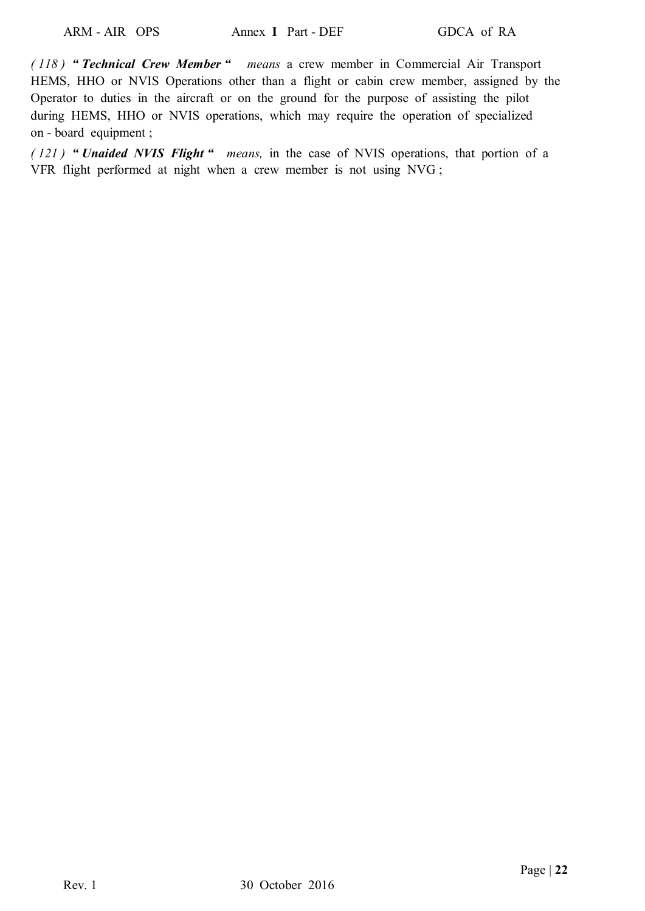*( 118 ) " Technical Crew Member " means* a crew member in Commercial Air Transport HEMS, HHO or NVIS Operations other than a flight or cabin crew member, assigned by the Operator to duties in the aircraft or on the ground for the purpose of assisting the pilot during HEMS, HHO or NVIS operations, which may require the operation of specialized on - board equipment ;

*( 121 ) " Unaided NVIS Flight " means,* in the case of NVIS operations, that portion of a VFR flight performed at night when a crew member is not using NVG ;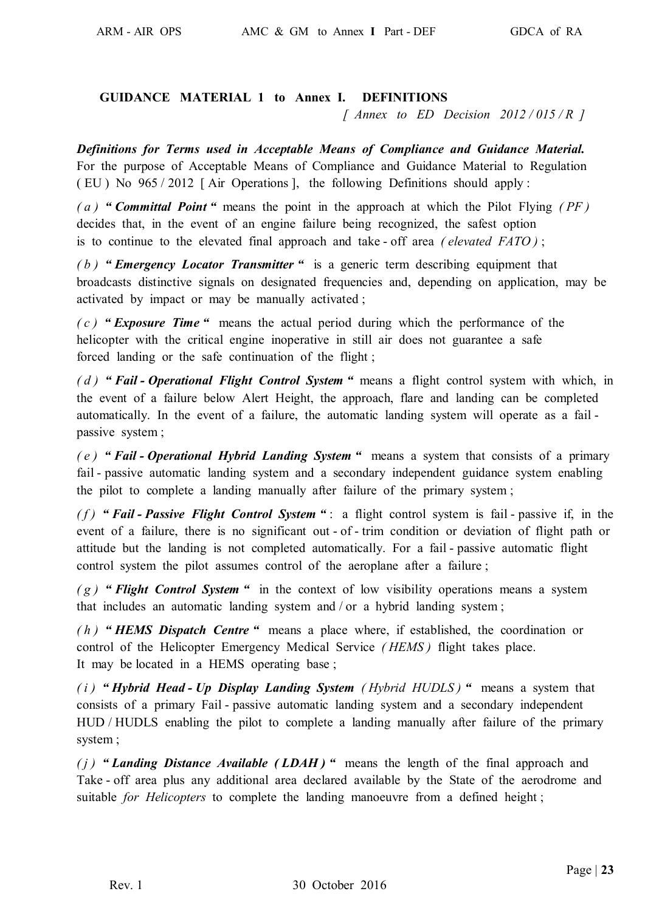# **GUIDANCE MATERIAL 1 to Annex I. DEFINITIONS**

*[ Annex to ED Decision 2012 / 015 / R ]* 

*Definitions for Terms used in Acceptable Means of Compliance and Guidance Material.*  For the purpose of Acceptable Means of Compliance and Guidance Material to Regulation ( EU ) No 965 / 2012 [ Air Operations ], the following Definitions should apply :

*( a ) " Committal Point "* means the point in the approach at which the Pilot Flying *( PF )* decides that, in the event of an engine failure being recognized, the safest option is to continue to the elevated final approach and take - off area *( elevated FATO )* ;

*( b ) " Emergency Locator Transmitter "* is a generic term describing equipment that broadcasts distinctive signals on designated frequencies and, depending on application, may be activated by impact or may be manually activated ;

*( c ) " Exposure Time "* means the actual period during which the performance of the helicopter with the critical engine inoperative in still air does not guarantee a safe forced landing or the safe continuation of the flight ;

*( d ) " Fail - Operational Flight Control System "* means a flight control system with which, in the event of a failure below Alert Height, the approach, flare and landing can be completed automatically. In the event of a failure, the automatic landing system will operate as a fail passive system ;

*( e ) " Fail - Operational Hybrid Landing System "* means a system that consists of a primary fail - passive automatic landing system and a secondary independent guidance system enabling the pilot to complete a landing manually after failure of the primary system ;

*( f ) " Fail - Passive Flight Control System "* : a flight control system is fail - passive if, in the event of a failure, there is no significant out - of - trim condition or deviation of flight path or attitude but the landing is not completed automatically. For a fail - passive automatic flight control system the pilot assumes control of the aeroplane after a failure ;

*( g ) " Flight Control System "* in the context of low visibility operations means a system that includes an automatic landing system and / or a hybrid landing system ;

*( h ) " HEMS Dispatch Centre "* means a place where, if established, the coordination or control of the Helicopter Emergency Medical Service *( HEMS )* flight takes place. It may be located in a HEMS operating base ;

*( i ) " Hybrid Head - Up Display Landing System ( Hybrid HUDLS ) "* means a system that consists of a primary Fail - passive automatic landing system and a secondary independent HUD / HUDLS enabling the pilot to complete a landing manually after failure of the primary system ;

*( j ) " Landing Distance Available ( LDAH ) "* means the length of the final approach and Take - off area plus any additional area declared available by the State of the aerodrome and suitable *for Helicopters* to complete the landing manoeuvre from a defined height ;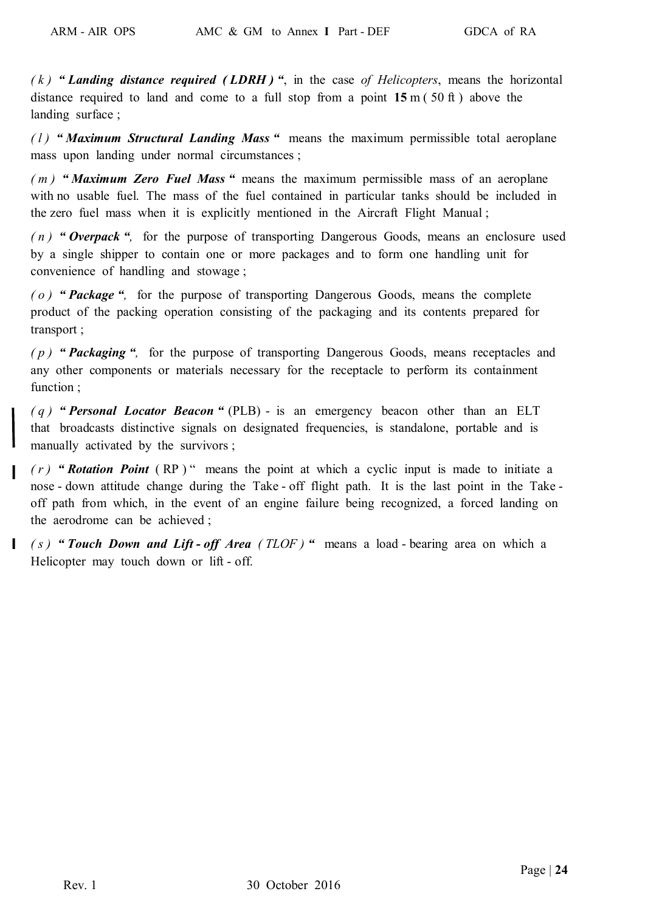*( k ) " Landing distance required ( LDRH ) "*, in the case *of Helicopters*, means the horizontal distance required to land and come to a full stop from a point **15** m ( 50 ft ) above the landing surface ;

*( l ) " Maximum Structural Landing Mass "* means the maximum permissible total aeroplane mass upon landing under normal circumstances ;

*( m ) " Maximum Zero Fuel Mass "* means the maximum permissible mass of an aeroplane with no usable fuel. The mass of the fuel contained in particular tanks should be included in the zero fuel mass when it is explicitly mentioned in the Aircraft Flight Manual ;

*( n ) " Overpack ",* for the purpose of transporting Dangerous Goods, means an enclosure used by a single shipper to contain one or more packages and to form one handling unit for convenience of handling and stowage ;

*( o ) " Package ",* for the purpose of transporting Dangerous Goods, means the complete product of the packing operation consisting of the packaging and its contents prepared for transport ;

*( p ) " Packaging ",* for the purpose of transporting Dangerous Goods, means receptacles and any other components or materials necessary for the receptacle to perform its containment function :

*( q ) " Personal Locator Beacon "* (PLB) - is an emergency beacon other than an ELT that broadcasts distinctive signals on designated frequencies, is standalone, portable and is manually activated by the survivors ;

*( r ) " Rotation Point* ( RP ) " means the point at which a cyclic input is made to initiate a nose - down attitude change during the Take - off flight path. It is the last point in the Take off path from which, in the event of an engine failure being recognized, a forced landing on the aerodrome can be achieved ;

*( s ) " Touch Down and Lift - off Area ( TLOF ) "* means a load - bearing area on which a Helicopter may touch down or lift - off.

 $\blacksquare$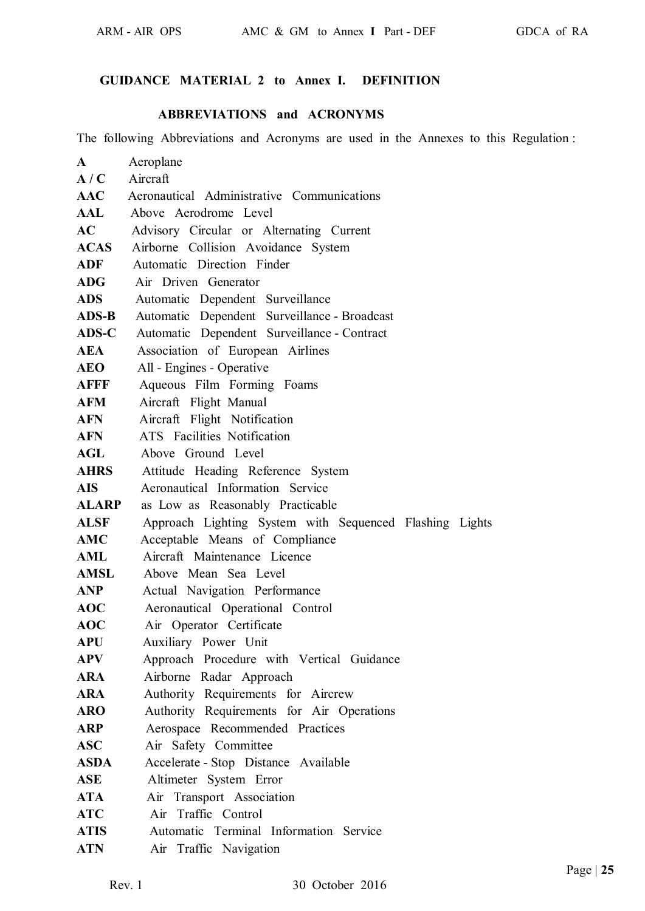# **GUIDANCE MATERIAL 2 to Annex I. DEFINITION**

## **ABBREVIATIONS and ACRONYMS**

The following Abbreviations and Acronyms are used in the Annexes to this Regulation :

| A                      | Aeroplane                                               |
|------------------------|---------------------------------------------------------|
| A/C                    | Aircraft                                                |
| $\bf AAC$              | Aeronautical Administrative Communications              |
| AAL                    | Above Aerodrome Level                                   |
| AC                     | Advisory Circular or Alternating Current                |
| <b>ACAS</b>            | Airborne Collision Avoidance System                     |
| ADF                    | Automatic Direction Finder                              |
| $\bf{A} \bf{D} \bf{G}$ | Air Driven Generator                                    |
| <b>ADS</b>             | Automatic Dependent Surveillance                        |
| <b>ADS-B</b>           | Automatic Dependent Surveillance - Broadcast            |
| $\bf{ADS-C}$           | Automatic Dependent Surveillance - Contract             |
| <b>AEA</b>             | Association of European Airlines                        |
| <b>AEO</b>             | All - Engines - Operative                               |
| <b>AFFF</b>            | Aqueous Film Forming Foams                              |
| AFM                    | Aircraft Flight Manual                                  |
| AFN                    | Aircraft Flight Notification                            |
| AFN                    | ATS Facilities Notification                             |
| AGL                    | Above Ground Level                                      |
| <b>AHRS</b>            | Attitude Heading Reference System                       |
| <b>AIS</b>             | Aeronautical Information Service                        |
| <b>ALARP</b>           | as Low as Reasonably Practicable                        |
| <b>ALSF</b>            | Approach Lighting System with Sequenced Flashing Lights |
| <b>AMC</b>             | Acceptable Means of Compliance                          |
| AML                    | Aircraft Maintenance Licence                            |
| AMSL                   | Above Mean Sea Level                                    |
| <b>ANP</b>             | Actual Navigation Performance                           |
| <b>AOC</b>             | Aeronautical Operational Control                        |
| <b>AOC</b>             | Air Operator Certificate                                |
| <b>APU</b>             | Auxiliary Power Unit                                    |
| <b>APV</b>             | Approach Procedure with Vertical Guidance               |
| <b>ARA</b>             | Airborne Radar Approach                                 |
| <b>ARA</b>             | Authority Requirements for Aircrew                      |
| <b>ARO</b>             | Authority Requirements for Air Operations               |
| <b>ARP</b>             | Aerospace Recommended Practices                         |
| <b>ASC</b>             | Air Safety Committee                                    |
| <b>ASDA</b>            | Accelerate - Stop Distance Available                    |
| <b>ASE</b>             | Altimeter System Error                                  |
| <b>ATA</b>             | Air Transport Association                               |
| <b>ATC</b>             | Air Traffic Control                                     |
| <b>ATIS</b>            | Automatic Terminal Information Service                  |
| <b>ATN</b>             | Air Traffic Navigation                                  |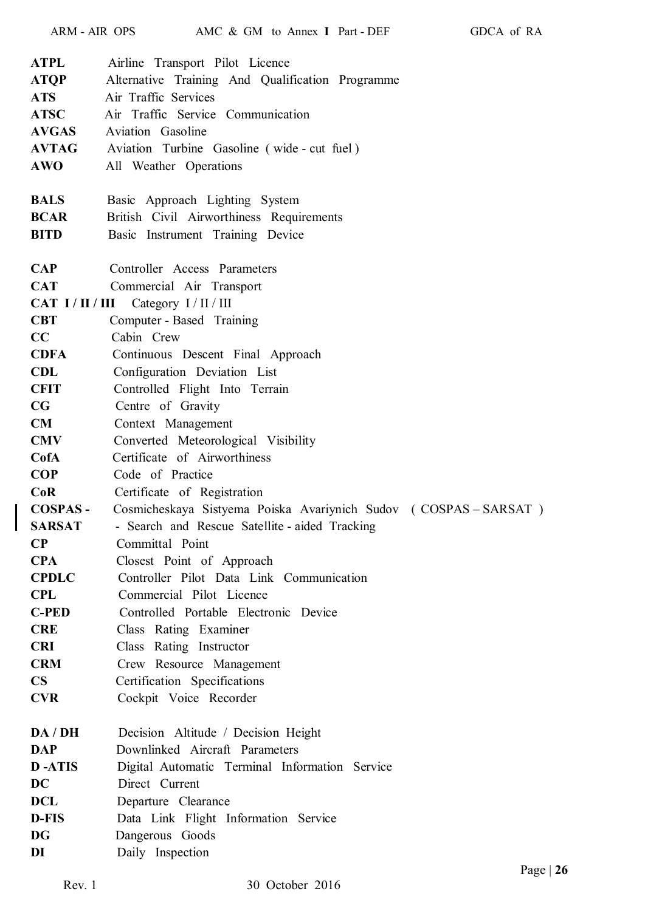| <b>ATPL</b>            | Airline Transport Pilot Licence                                |
|------------------------|----------------------------------------------------------------|
| <b>ATQP</b>            | Alternative Training And Qualification Programme               |
| <b>ATS</b>             | Air Traffic Services                                           |
| <b>ATSC</b>            | Air Traffic Service Communication                              |
| <b>AVGAS</b>           | Aviation Gasoline                                              |
| <b>AVTAG</b>           | Aviation Turbine Gasoline (wide - cut fuel)                    |
| <b>AWO</b>             | All Weather Operations                                         |
|                        |                                                                |
| <b>BALS</b>            | Basic Approach Lighting System                                 |
| <b>BCAR</b>            | British Civil Airworthiness Requirements                       |
| <b>BITD</b>            | Basic Instrument Training Device                               |
|                        |                                                                |
| <b>CAP</b>             | Controller Access Parameters                                   |
| <b>CAT</b>             | Commercial Air Transport                                       |
|                        | <b>CAT I/II/III</b> Category $I/II/III$                        |
| <b>CBT</b>             | Computer - Based Training                                      |
| CC                     | Cabin Crew                                                     |
| <b>CDFA</b>            | Continuous Descent Final Approach                              |
| <b>CDL</b>             | Configuration Deviation List                                   |
| <b>CFIT</b>            | Controlled Flight Into Terrain                                 |
| $\mathbf{C}\mathbf{G}$ | Centre of Gravity                                              |
| CM                     | Context Management                                             |
| <b>CMV</b>             | Converted Meteorological Visibility                            |
| <b>CofA</b>            | Certificate of Airworthiness                                   |
| <b>COP</b>             | Code of Practice                                               |
| CoR                    | Certificate of Registration                                    |
| <b>COSPAS -</b>        | Cosmicheskaya Sistyema Poiska Avariynich Sudov (COSPAS-SARSAT) |
| <b>SARSAT</b>          | - Search and Rescue Satellite - aided Tracking                 |
| $\bf CP$               | Committal Point                                                |
| <b>CPA</b>             | Closest Point of Approach                                      |
| <b>CPDLC</b>           | Controller Pilot Data Link Communication                       |
| <b>CPL</b>             | Commercial Pilot Licence                                       |
| <b>C-PED</b>           | Controlled Portable Electronic Device                          |
| <b>CRE</b>             | Class Rating Examiner                                          |
| <b>CRI</b>             | Class Rating Instructor                                        |
| <b>CRM</b>             | Crew Resource Management                                       |
| $\mathbf{CS}$          | Certification Specifications                                   |
| <b>CVR</b>             | Cockpit Voice Recorder                                         |
|                        |                                                                |
| DA/DH                  | Decision Altitude / Decision Height                            |
| <b>DAP</b>             | Downlinked Aircraft Parameters                                 |
| <b>D-ATIS</b>          | Digital Automatic Terminal Information Service                 |
| DC                     | Direct Current                                                 |
| <b>DCL</b>             | Departure Clearance                                            |
| D-FIS                  | Data Link Flight Information Service                           |
| <b>DG</b>              | Dangerous Goods                                                |
| DI                     | Daily Inspection                                               |

 $\overline{\phantom{a}}$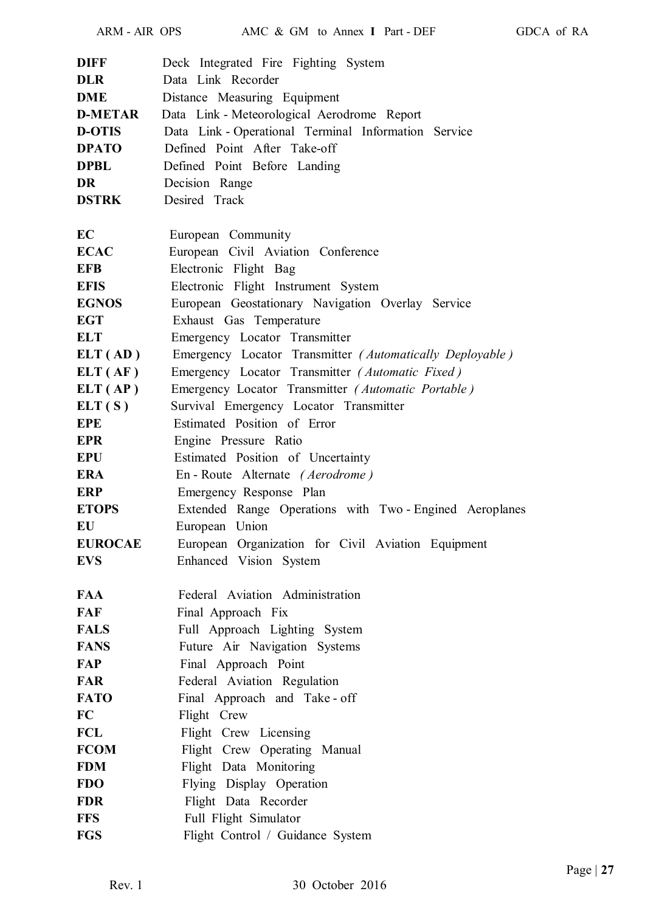| ARM - AIR OPS  | AMC & GM to Annex I Part - DEF<br>GDCA of RA             |
|----------------|----------------------------------------------------------|
| <b>DIFF</b>    | Deck Integrated Fire Fighting System                     |
| <b>DLR</b>     | Data Link Recorder                                       |
| <b>DME</b>     | Distance Measuring Equipment                             |
| <b>D-METAR</b> | Data Link - Meteorological Aerodrome Report              |
| <b>D-OTIS</b>  | Data Link - Operational Terminal Information Service     |
| <b>DPATO</b>   | Defined Point After Take-off                             |
| <b>DPBL</b>    | Defined Point Before Landing                             |
| DR             | Decision Range                                           |
| <b>DSTRK</b>   | Desired Track                                            |
|                |                                                          |
| EC             | European Community                                       |
| <b>ECAC</b>    | European Civil Aviation Conference                       |
| <b>EFB</b>     | Electronic Flight Bag                                    |
| <b>EFIS</b>    | Electronic Flight Instrument System                      |
| <b>EGNOS</b>   | European Geostationary Navigation Overlay Service        |
| <b>EGT</b>     | Exhaust Gas Temperature                                  |
| <b>ELT</b>     | Emergency Locator Transmitter                            |
| ELT(AD)        | Emergency Locator Transmitter (Automatically Deployable) |
| ELT(AF)        | Emergency Locator Transmitter (Automatic Fixed)          |
| ELT (AP)       | Emergency Locator Transmitter (Automatic Portable)       |
| ELT(S)         | Survival Emergency Locator Transmitter                   |
| <b>EPE</b>     | Estimated Position of Error                              |
| <b>EPR</b>     | Engine Pressure Ratio                                    |
| <b>EPU</b>     | Estimated Position of Uncertainty                        |
| <b>ERA</b>     | En - Route Alternate (Aerodrome)                         |
| <b>ERP</b>     | Emergency Response Plan                                  |
| <b>ETOPS</b>   | Extended Range Operations with Two-Engined Aeroplanes    |
| EU             | European Union                                           |
| <b>EUROCAE</b> | European Organization for Civil Aviation Equipment       |
| <b>EVS</b>     | Enhanced Vision System                                   |
| <b>FAA</b>     | Federal Aviation Administration                          |
| FAF            | Final Approach Fix                                       |
| <b>FALS</b>    | Full Approach Lighting System                            |
| <b>FANS</b>    | Future Air Navigation Systems                            |
| <b>FAP</b>     | Final Approach Point                                     |
| <b>FAR</b>     | Federal Aviation Regulation                              |
| <b>FATO</b>    | Final Approach and Take - off                            |
| FC             | Flight Crew                                              |
| <b>FCL</b>     | Flight Crew Licensing                                    |
| <b>FCOM</b>    | Flight Crew Operating Manual                             |
| <b>FDM</b>     | Flight Data Monitoring                                   |
| <b>FDO</b>     | Flying Display Operation                                 |
| <b>FDR</b>     | Flight Data Recorder                                     |
| <b>FFS</b>     | Full Flight Simulator                                    |
| <b>FGS</b>     | Flight Control / Guidance System                         |
|                |                                                          |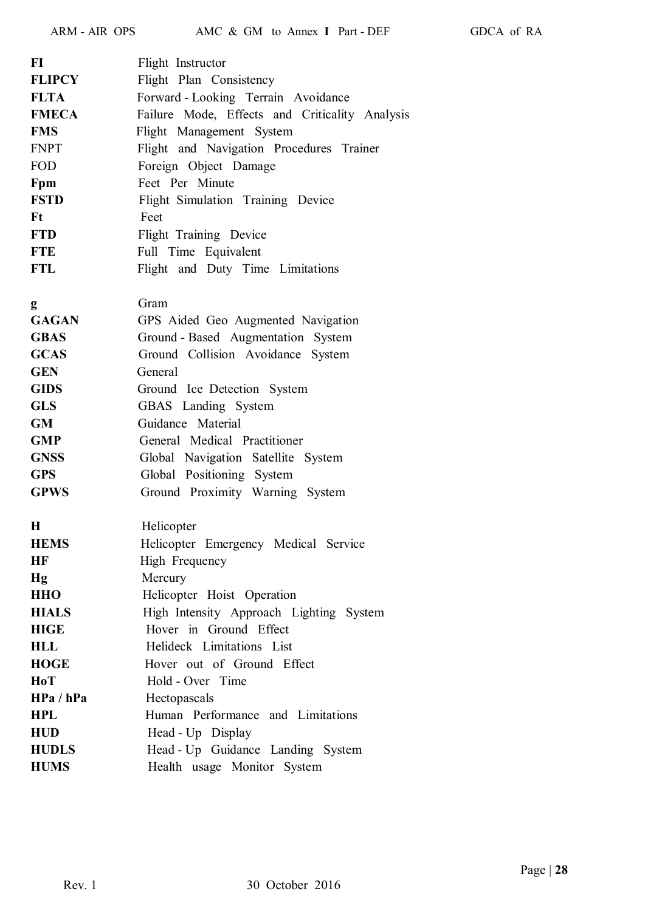| $FI$          | Flight Instructor                              |
|---------------|------------------------------------------------|
| <b>FLIPCY</b> | Flight Plan Consistency                        |
| <b>FLTA</b>   | Forward - Looking Terrain Avoidance            |
| <b>FMECA</b>  | Failure Mode, Effects and Criticality Analysis |
| <b>FMS</b>    | Flight Management System                       |
| <b>FNPT</b>   | Flight and Navigation Procedures Trainer       |
| <b>FOD</b>    | Foreign Object Damage                          |
| Fpm           | Feet Per Minute                                |
| <b>FSTD</b>   | Flight Simulation Training Device              |
| Ft            | Feet                                           |
| <b>FTD</b>    | Flight Training Device                         |
| <b>FTE</b>    | Full Time Equivalent                           |
| <b>FTL</b>    | Flight and Duty Time Limitations               |
|               |                                                |
| g             | Gram                                           |
| <b>GAGAN</b>  | GPS Aided Geo Augmented Navigation             |
| <b>GBAS</b>   | Ground - Based Augmentation System             |
| <b>GCAS</b>   | Ground Collision Avoidance System              |
| <b>GEN</b>    | General                                        |
| <b>GIDS</b>   | Ground Ice Detection System                    |
| <b>GLS</b>    | GBAS Landing System                            |
| <b>GM</b>     | Guidance Material                              |
| <b>GMP</b>    | General Medical Practitioner                   |
| <b>GNSS</b>   | Global Navigation Satellite System             |
| <b>GPS</b>    | Global Positioning System                      |
| <b>GPWS</b>   | Ground Proximity Warning System                |
| $\bf H$       | Helicopter                                     |
| <b>HEMS</b>   | Helicopter Emergency Medical Service           |
| <b>HF</b>     | High Frequency                                 |
| Hg            | Mercury                                        |
| <b>HHO</b>    | Helicopter Hoist Operation                     |
| <b>HIALS</b>  | High Intensity Approach Lighting System        |
| <b>HIGE</b>   | Hover in Ground Effect                         |
| <b>HLL</b>    | Helideck Limitations List                      |
| <b>HOGE</b>   | Hover out of Ground Effect                     |
| HoT           | Hold - Over Time                               |
| HPa/hPa       | Hectopascals                                   |
| <b>HPL</b>    | Human Performance and Limitations              |
| <b>HUD</b>    | Head - Up Display                              |
| <b>HUDLS</b>  | Head - Up Guidance Landing System              |
| <b>HUMS</b>   | Health usage Monitor System                    |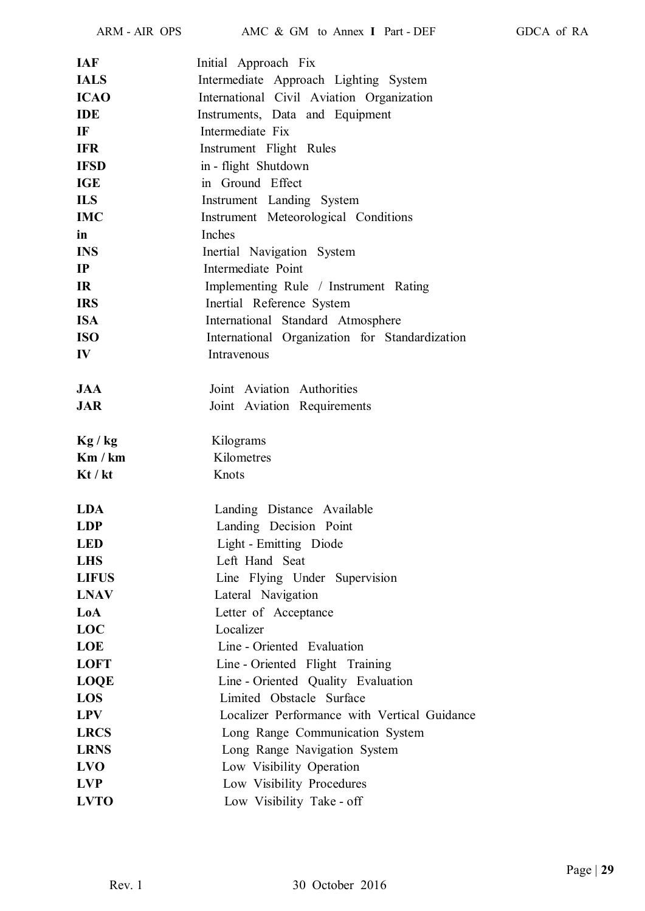| <b>IAF</b>                | Initial Approach Fix                                   |
|---------------------------|--------------------------------------------------------|
| <b>IALS</b>               | Intermediate Approach Lighting System                  |
| <b>ICAO</b>               | International Civil Aviation Organization              |
| <b>IDE</b>                | Instruments, Data and Equipment                        |
| IF                        | Intermediate Fix                                       |
| <b>IFR</b>                | Instrument Flight Rules                                |
| <b>IFSD</b>               | in - flight Shutdown                                   |
| <b>IGE</b>                | in Ground Effect                                       |
| <b>ILS</b>                | Instrument Landing System                              |
| <b>IMC</b>                | Instrument Meteorological Conditions                   |
| in                        | Inches                                                 |
| <b>INS</b>                | Inertial Navigation System                             |
| IP                        | Intermediate Point                                     |
| IR                        | Implementing Rule / Instrument Rating                  |
| <b>IRS</b>                | Inertial Reference System                              |
| <b>ISA</b>                | International Standard Atmosphere                      |
| <b>ISO</b>                | International Organization for Standardization         |
| IV                        | Intravenous                                            |
|                           |                                                        |
| <b>JAA</b>                | Joint Aviation Authorities                             |
| <b>JAR</b>                | Joint Aviation Requirements                            |
|                           |                                                        |
|                           |                                                        |
| Kg / kg                   | Kilograms                                              |
| Km / km                   | Kilometres                                             |
| Kt / kt                   | Knots                                                  |
|                           |                                                        |
| <b>LDA</b>                | Landing Distance Available                             |
| <b>LDP</b>                | Landing Decision Point                                 |
| <b>LED</b>                | Light - Emitting Diode                                 |
| <b>LHS</b>                | Left Hand Seat                                         |
| <b>LIFUS</b>              | Line Flying Under Supervision                          |
| <b>LNAV</b>               | Lateral Navigation                                     |
| LoA                       | Letter of Acceptance                                   |
| LOC                       | Localizer                                              |
| LOE                       | Line - Oriented Evaluation                             |
| <b>LOFT</b>               | Line - Oriented Flight Training                        |
| <b>LOQE</b>               | Line - Oriented Quality Evaluation                     |
| <b>LOS</b>                | Limited Obstacle Surface                               |
| <b>LPV</b>                | Localizer Performance with Vertical Guidance           |
| <b>LRCS</b>               | Long Range Communication System                        |
| <b>LRNS</b>               | Long Range Navigation System                           |
| <b>LVO</b>                | Low Visibility Operation                               |
| <b>LVP</b><br><b>LVTO</b> | Low Visibility Procedures<br>Low Visibility Take - off |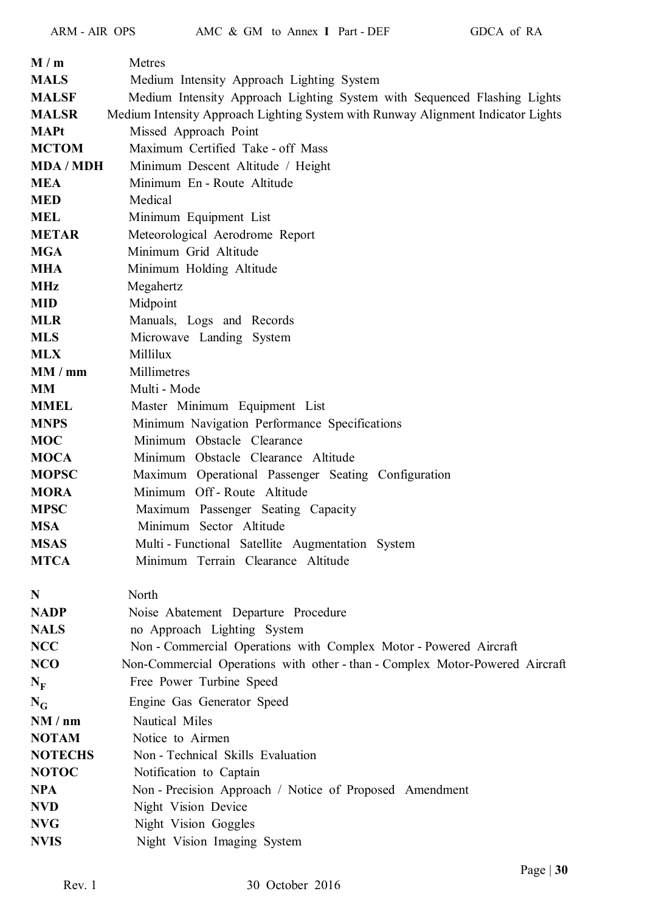| M/m            | Metres                                                                           |  |  |
|----------------|----------------------------------------------------------------------------------|--|--|
| <b>MALS</b>    | Medium Intensity Approach Lighting System                                        |  |  |
| <b>MALSF</b>   | Medium Intensity Approach Lighting System with Sequenced Flashing Lights         |  |  |
| <b>MALSR</b>   | Medium Intensity Approach Lighting System with Runway Alignment Indicator Lights |  |  |
| <b>MAPt</b>    | Missed Approach Point                                                            |  |  |
| <b>MCTOM</b>   | Maximum Certified Take - off Mass                                                |  |  |
| <b>MDA/MDH</b> | Minimum Descent Altitude / Height                                                |  |  |
| <b>MEA</b>     | Minimum En - Route Altitude                                                      |  |  |
| <b>MED</b>     | Medical                                                                          |  |  |
| <b>MEL</b>     | Minimum Equipment List                                                           |  |  |
| <b>METAR</b>   | Meteorological Aerodrome Report                                                  |  |  |
| <b>MGA</b>     | Minimum Grid Altitude                                                            |  |  |
| <b>MHA</b>     | Minimum Holding Altitude                                                         |  |  |
| <b>MHz</b>     | Megahertz                                                                        |  |  |
| <b>MID</b>     | Midpoint                                                                         |  |  |
| <b>MLR</b>     | Manuals, Logs and Records                                                        |  |  |
| <b>MLS</b>     | Microwave Landing System                                                         |  |  |
| <b>MLX</b>     | Millilux                                                                         |  |  |
| MM/mm          | Millimetres                                                                      |  |  |
| <b>MM</b>      | Multi - Mode                                                                     |  |  |
| <b>MMEL</b>    | Master Minimum Equipment List                                                    |  |  |
| <b>MNPS</b>    | Minimum Navigation Performance Specifications                                    |  |  |
| <b>MOC</b>     | Minimum Obstacle Clearance                                                       |  |  |
| <b>MOCA</b>    | Minimum Obstacle Clearance Altitude                                              |  |  |
| <b>MOPSC</b>   | Maximum Operational Passenger Seating Configuration                              |  |  |
| <b>MORA</b>    | Minimum Off - Route Altitude                                                     |  |  |
| <b>MPSC</b>    | Maximum Passenger Seating Capacity                                               |  |  |
| <b>MSA</b>     | Minimum Sector Altitude                                                          |  |  |
| <b>MSAS</b>    | Multi - Functional Satellite Augmentation System                                 |  |  |
| <b>MTCA</b>    | Minimum Terrain Clearance Altitude                                               |  |  |
|                |                                                                                  |  |  |
| N              | North                                                                            |  |  |
| <b>NADP</b>    | Noise Abatement Departure Procedure                                              |  |  |
| <b>NALS</b>    | no Approach Lighting System                                                      |  |  |
| <b>NCC</b>     | Non - Commercial Operations with Complex Motor - Powered Aircraft                |  |  |
| <b>NCO</b>     | Non-Commercial Operations with other - than - Complex Motor-Powered Aircraft     |  |  |
| $N_F$          | Free Power Turbine Speed                                                         |  |  |
| $N_G$          | Engine Gas Generator Speed                                                       |  |  |
| NM/nm          | Nautical Miles                                                                   |  |  |
| <b>NOTAM</b>   | Notice to Airmen                                                                 |  |  |
| <b>NOTECHS</b> | Non - Technical Skills Evaluation                                                |  |  |
| <b>NOTOC</b>   | Notification to Captain                                                          |  |  |
| <b>NPA</b>     | Non - Precision Approach / Notice of Proposed Amendment                          |  |  |
| <b>NVD</b>     | Night Vision Device                                                              |  |  |
| <b>NVG</b>     | Night Vision Goggles                                                             |  |  |
| <b>NVIS</b>    | Night Vision Imaging System                                                      |  |  |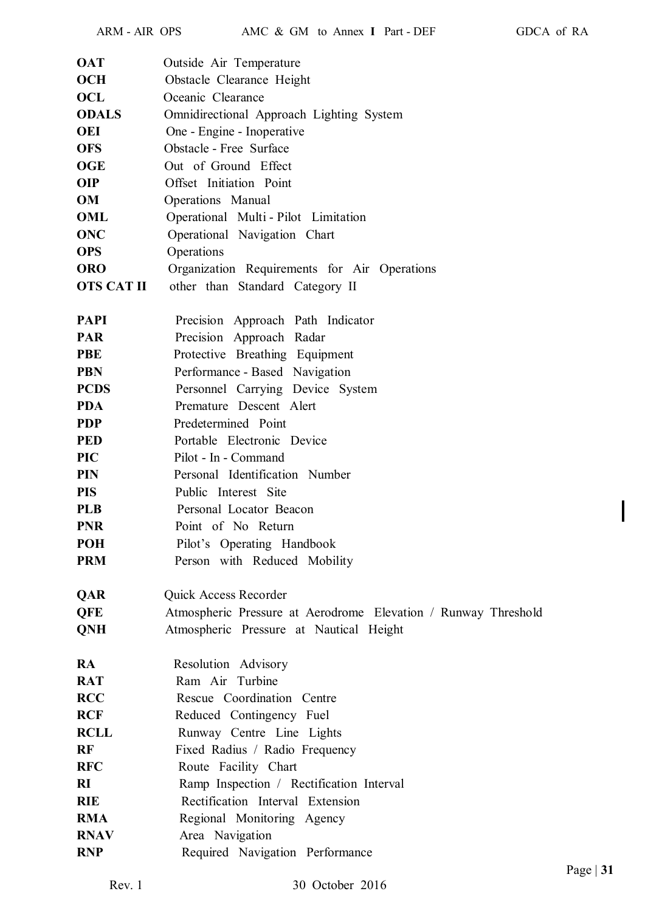| <b>OAT</b>   | Outside Air Temperature                                        |  |  |
|--------------|----------------------------------------------------------------|--|--|
| <b>OCH</b>   | Obstacle Clearance Height                                      |  |  |
| <b>OCL</b>   | Oceanic Clearance                                              |  |  |
| <b>ODALS</b> | Omnidirectional Approach Lighting System                       |  |  |
| OEI          | One - Engine - Inoperative                                     |  |  |
| <b>OFS</b>   | Obstacle - Free Surface                                        |  |  |
| OGE          | Out of Ground Effect                                           |  |  |
| <b>OIP</b>   | Offset Initiation Point                                        |  |  |
| OM           | Operations Manual                                              |  |  |
| OML          | Operational Multi - Pilot Limitation                           |  |  |
| <b>ONC</b>   | Operational Navigation Chart                                   |  |  |
| <b>OPS</b>   | Operations                                                     |  |  |
| <b>ORO</b>   | Organization Requirements for Air Operations                   |  |  |
| OTS CAT II   | other than Standard Category II                                |  |  |
| <b>PAPI</b>  |                                                                |  |  |
| <b>PAR</b>   | Precision Approach Path Indicator                              |  |  |
| <b>PBE</b>   | Precision Approach Radar<br>Protective Breathing Equipment     |  |  |
| <b>PBN</b>   | Performance - Based Navigation                                 |  |  |
| <b>PCDS</b>  | Personnel Carrying Device System                               |  |  |
| <b>PDA</b>   | Premature Descent Alert                                        |  |  |
| <b>PDP</b>   | Predetermined Point                                            |  |  |
| <b>PED</b>   | Portable Electronic Device                                     |  |  |
| <b>PIC</b>   | Pilot - In - Command                                           |  |  |
| <b>PIN</b>   | Personal Identification Number                                 |  |  |
| <b>PIS</b>   | Public Interest Site                                           |  |  |
| <b>PLB</b>   | Personal Locator Beacon                                        |  |  |
| <b>PNR</b>   | Point of No Return                                             |  |  |
| <b>POH</b>   | Pilot's Operating Handbook                                     |  |  |
| <b>PRM</b>   | Person with Reduced Mobility                                   |  |  |
|              |                                                                |  |  |
| QAR          | Quick Access Recorder                                          |  |  |
| QFE          | Atmospheric Pressure at Aerodrome Elevation / Runway Threshold |  |  |
| <b>QNH</b>   | Atmospheric Pressure at Nautical Height                        |  |  |
|              |                                                                |  |  |
| RA           | Resolution Advisory                                            |  |  |
| <b>RAT</b>   | Ram Air Turbine                                                |  |  |
| <b>RCC</b>   | Rescue Coordination Centre                                     |  |  |
| <b>RCF</b>   | Reduced Contingency Fuel                                       |  |  |
| <b>RCLL</b>  | Runway Centre Line Lights                                      |  |  |
| RF           | Fixed Radius / Radio Frequency                                 |  |  |
| <b>RFC</b>   | Route Facility Chart                                           |  |  |
| RI           | Ramp Inspection / Rectification Interval                       |  |  |
| <b>RIE</b>   | Rectification Interval Extension                               |  |  |
| <b>RMA</b>   | Regional Monitoring Agency                                     |  |  |
| <b>RNAV</b>  | Area Navigation                                                |  |  |
| <b>RNP</b>   | Required Navigation Performance                                |  |  |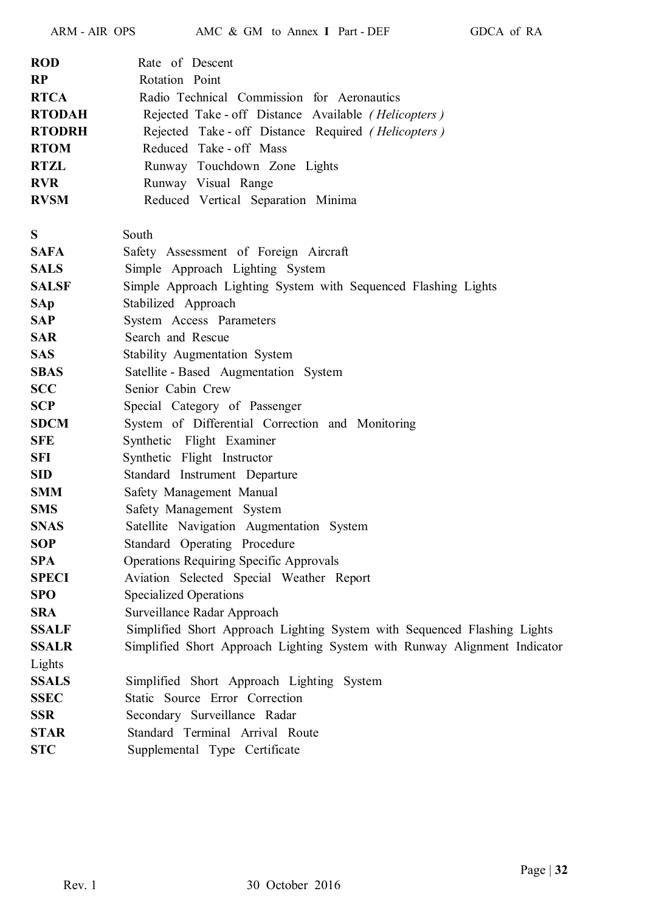ARM - AIR OPS AMC & GM to Annex I Part - DEF GDCA of RA

| <b>ROD</b>    | Rate of Descent                                                           |
|---------------|---------------------------------------------------------------------------|
| RP            | Rotation Point                                                            |
| <b>RTCA</b>   | Radio Technical Commission for Aeronautics                                |
| <b>RTODAH</b> | Rejected Take - off Distance Available (Helicopters)                      |
| <b>RTODRH</b> | Rejected Take - off Distance Required (Helicopters)                       |
| <b>RTOM</b>   | Reduced Take - off Mass                                                   |
| <b>RTZL</b>   | Runway Touchdown Zone Lights                                              |
| <b>RVR</b>    | Runway Visual Range                                                       |
| <b>RVSM</b>   | Reduced Vertical Separation Minima                                        |
| S             | South                                                                     |
| <b>SAFA</b>   | Safety Assessment of Foreign Aircraft                                     |
| <b>SALS</b>   | Simple Approach Lighting System                                           |
| <b>SALSF</b>  | Simple Approach Lighting System with Sequenced Flashing Lights            |
| <b>SAp</b>    | Stabilized Approach                                                       |
| <b>SAP</b>    | System Access Parameters                                                  |
| <b>SAR</b>    | Search and Rescue                                                         |
| <b>SAS</b>    | Stability Augmentation System                                             |
| <b>SBAS</b>   | Satellite - Based Augmentation System                                     |
| <b>SCC</b>    | Senior Cabin Crew                                                         |
| <b>SCP</b>    | Special Category of Passenger                                             |
| <b>SDCM</b>   | System of Differential Correction and Monitoring                          |
| <b>SFE</b>    | Synthetic Flight Examiner                                                 |
| SFI           | Synthetic Flight Instructor                                               |
| <b>SID</b>    | Standard Instrument Departure                                             |
| <b>SMM</b>    | Safety Management Manual                                                  |
| <b>SMS</b>    | Safety Management System                                                  |
| <b>SNAS</b>   | Satellite Navigation Augmentation System                                  |
| <b>SOP</b>    | Standard Operating Procedure                                              |
| <b>SPA</b>    | <b>Operations Requiring Specific Approvals</b>                            |
| <b>SPECI</b>  | Aviation Selected Special Weather Report                                  |
| <b>SPO</b>    | <b>Specialized Operations</b>                                             |
| <b>SRA</b>    | Surveillance Radar Approach                                               |
| <b>SSALF</b>  | Simplified Short Approach Lighting System with Sequenced Flashing Lights  |
| <b>SSALR</b>  | Simplified Short Approach Lighting System with Runway Alignment Indicator |
| Lights        |                                                                           |
| <b>SSALS</b>  | Simplified Short Approach Lighting System                                 |
| <b>SSEC</b>   | Static Source Error Correction                                            |
| <b>SSR</b>    | Secondary Surveillance Radar                                              |
| <b>STAR</b>   | Standard Terminal Arrival Route                                           |
| <b>STC</b>    | Supplemental Type Certificate                                             |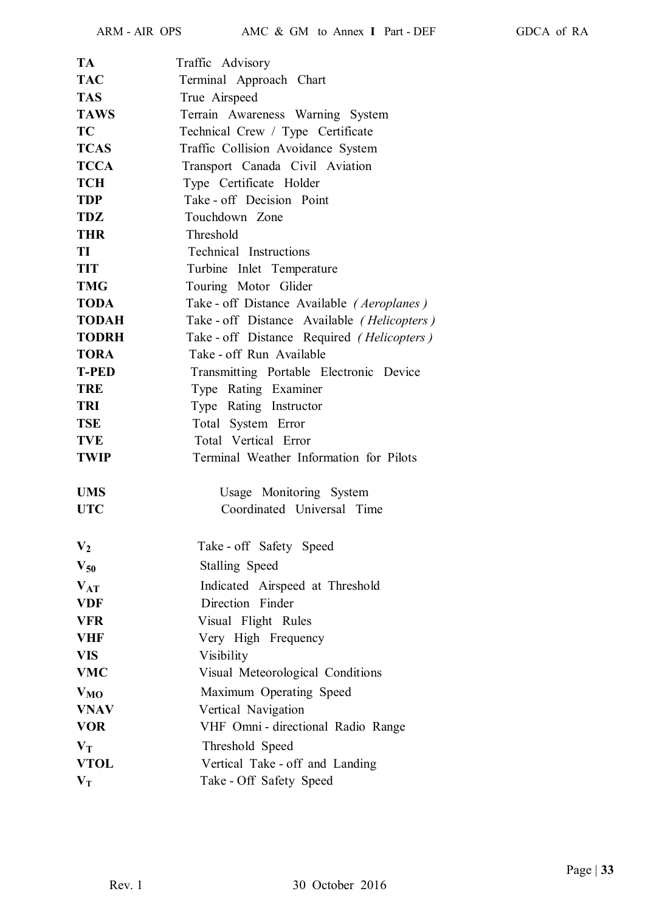| <b>TA</b>        | Traffic Advisory                                  |
|------------------|---------------------------------------------------|
| <b>TAC</b>       | Terminal Approach Chart                           |
| <b>TAS</b>       | True Airspeed                                     |
| <b>TAWS</b>      | Terrain Awareness Warning System                  |
| <b>TC</b>        | Technical Crew / Type Certificate                 |
| <b>TCAS</b>      | Traffic Collision Avoidance System                |
| <b>TCCA</b>      | Transport Canada Civil Aviation                   |
| <b>TCH</b>       | Type Certificate Holder                           |
| <b>TDP</b>       | Take - off Decision Point                         |
| <b>TDZ</b>       | Touchdown Zone                                    |
| <b>THR</b>       | Threshold                                         |
| TI               | Technical Instructions                            |
| <b>TIT</b>       | Turbine Inlet Temperature                         |
| <b>TMG</b>       | Touring Motor Glider                              |
| <b>TODA</b>      | Take - off Distance Available <i>(Aeroplanes)</i> |
| <b>TODAH</b>     | Take - off Distance Available (Helicopters)       |
| <b>TODRH</b>     | Take - off Distance Required (Helicopters)        |
| <b>TORA</b>      | Take - off Run Available                          |
| <b>T-PED</b>     | Transmitting Portable Electronic Device           |
| <b>TRE</b>       | Type Rating Examiner                              |
| <b>TRI</b>       | Type Rating Instructor                            |
| <b>TSE</b>       | Total System Error                                |
| <b>TVE</b>       | Total Vertical Error                              |
| <b>TWIP</b>      | Terminal Weather Information for Pilots           |
|                  |                                                   |
| <b>UMS</b>       | Usage Monitoring System                           |
| <b>UTC</b>       | Coordinated Universal Time                        |
| V <sub>2</sub>   | Take - off Safety Speed                           |
|                  | Stalling Speed                                    |
| $V_{50}$         |                                                   |
| $V_{AT}$         | Indicated Airspeed at Threshold                   |
| <b>VDF</b>       | Direction Finder                                  |
| <b>VFR</b>       | Visual Flight Rules                               |
| <b>VHF</b>       | Very High Frequency                               |
| <b>VIS</b>       | Visibility                                        |
| <b>VMC</b>       | Visual Meteorological Conditions                  |
| $V_{MO}$         | Maximum Operating Speed                           |
| <b>VNAV</b>      | Vertical Navigation                               |
| <b>VOR</b>       | VHF Omni - directional Radio Range                |
| $V_T$            | Threshold Speed                                   |
| <b>VTOL</b>      | Vertical Take - off and Landing                   |
| $\mathbf{V_{T}}$ | Take - Off Safety Speed                           |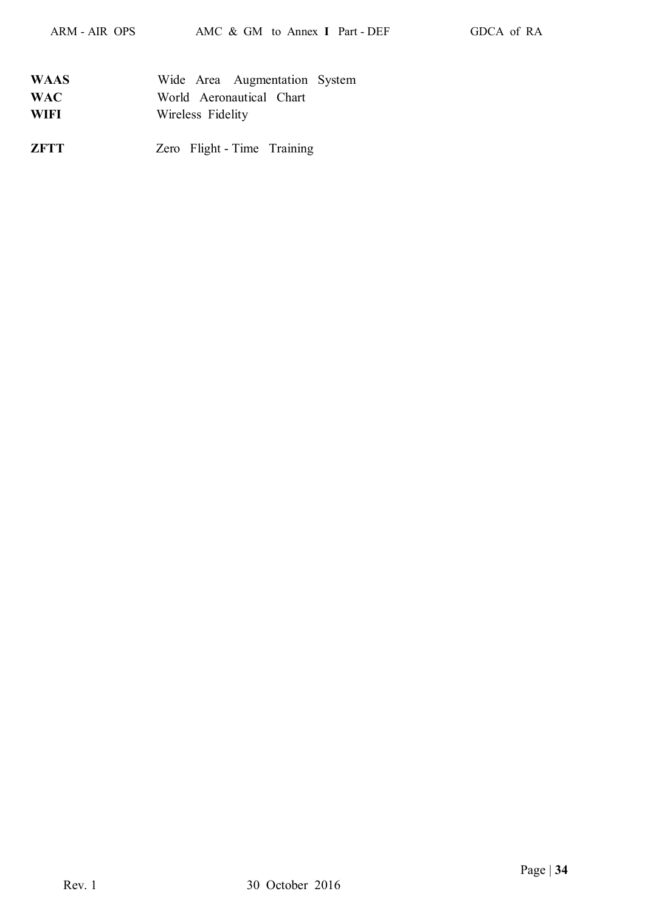| <b>WAAS</b> | Wide Area Augmentation System |
|-------------|-------------------------------|
| <b>WAC</b>  | World Aeronautical Chart      |
| WIFI        | Wireless Fidelity             |
| ZFTT        | Zero Flight - Time Training   |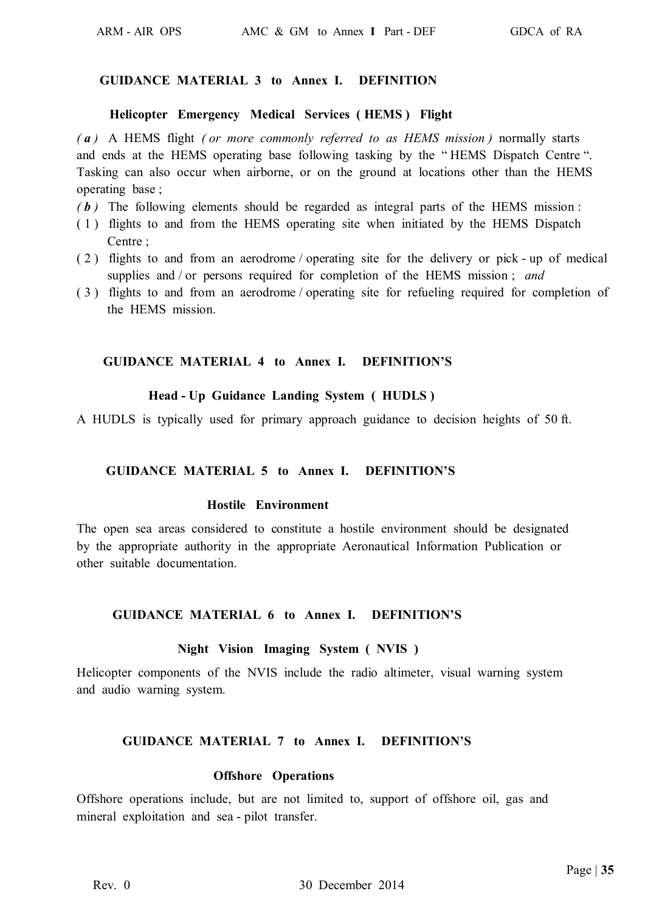## **GUIDANCE MATERIAL 3 to Annex I. DEFINITION**

#### **Helicopter Emergency Medical Services ( HEMS ) Flight**

*( a )* A HEMS flight *( or more commonly referred to as HEMS mission )* normally starts and ends at the HEMS operating base following tasking by the " HEMS Dispatch Centre ". Tasking can also occur when airborne, or on the ground at locations other than the HEMS operating base ;

- $(b)$  The following elements should be regarded as integral parts of the HEMS mission :
- ( 1 ) flights to and from the HEMS operating site when initiated by the HEMS Dispatch Centre ;
- ( 2 ) flights to and from an aerodrome / operating site for the delivery or pick up of medical supplies and / or persons required for completion of the HEMS mission ; *and*
- ( 3 ) flights to and from an aerodrome / operating site for refueling required for completion of the HEMS mission.

#### **GUIDANCE MATERIAL 4 to Annex I. DEFINITION'S**

#### **Head - Up Guidance Landing System ( HUDLS )**

A HUDLS is typically used for primary approach guidance to decision heights of 50 ft.

## **GUIDANCE MATERIAL 5 to Annex I. DEFINITION'S**

#### **Hostile Environment**

The open sea areas considered to constitute a hostile environment should be designated by the appropriate authority in the appropriate Aeronautical Information Publication or other suitable documentation.

## **GUIDANCE MATERIAL 6 to Annex I. DEFINITION'S**

#### **Night Vision Imaging System ( NVIS )**

Helicopter components of the NVIS include the radio altimeter, visual warning system and audio warning system.

#### **GUIDANCE MATERIAL 7 to Annex I. DEFINITION'S**

#### **Offshore Operations**

Offshore operations include, but are not limited to, support of offshore oil, gas and mineral exploitation and sea - pilot transfer.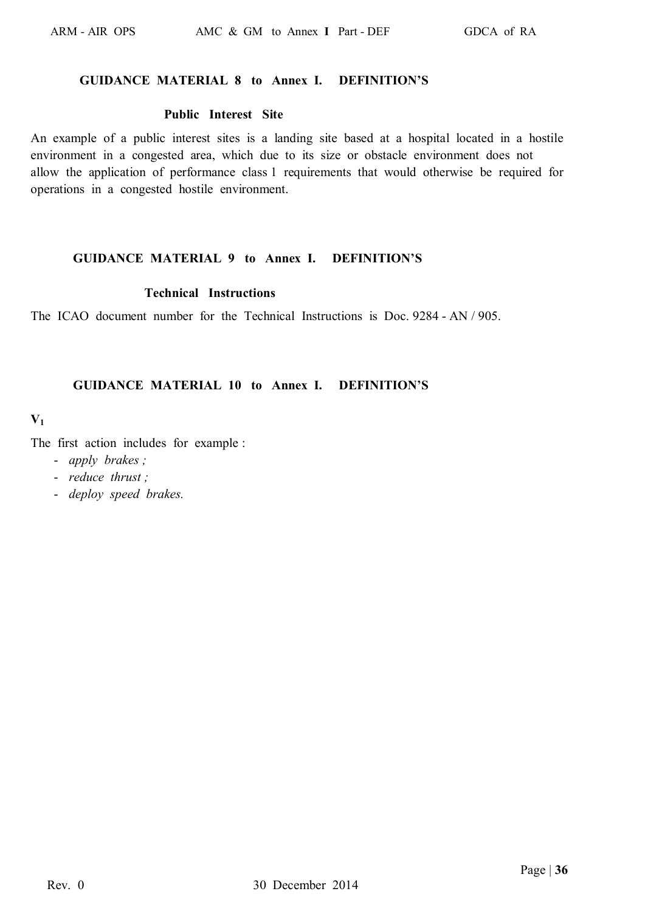## **GUIDANCE MATERIAL 8 to Annex I. DEFINITION'S**

#### **Public Interest Site**

An example of a public interest sites is a landing site based at a hospital located in a hostile environment in a congested area, which due to its size or obstacle environment does not allow the application of performance class 1 requirements that would otherwise be required for operations in a congested hostile environment.

## **GUIDANCE MATERIAL 9 to Annex I. DEFINITION'S**

#### **Technical Instructions**

The ICAO document number for the Technical Instructions is Doc. 9284 - AN / 905.

## **GUIDANCE MATERIAL 10 to Annex I. DEFINITION'S**

## $V_1$

The first action includes for example :

- *apply brakes ;*
- *reduce thrust ;*
- *deploy speed brakes.*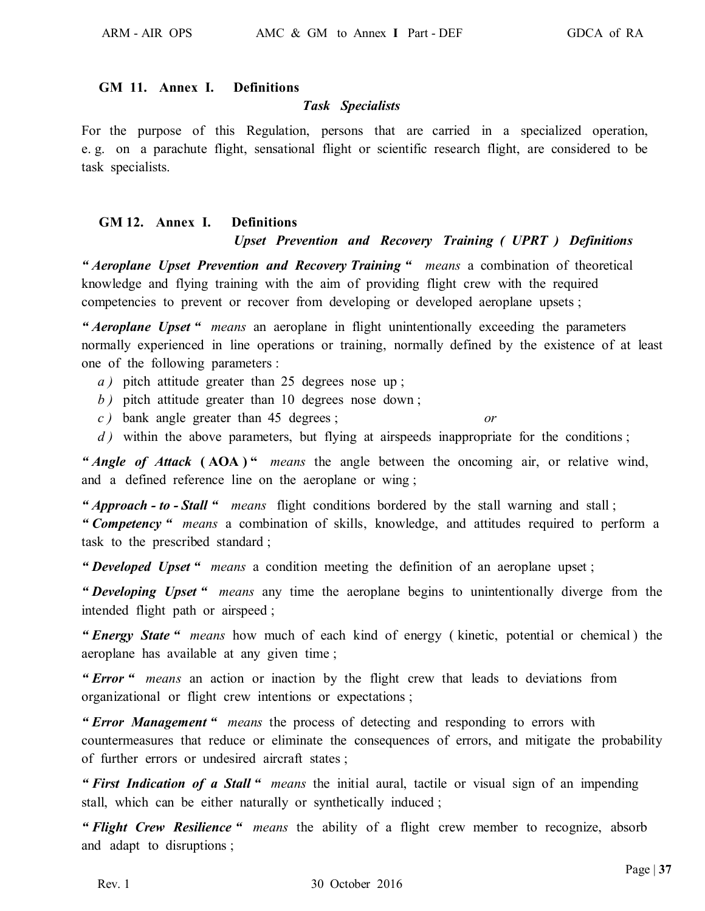#### **GM 11. Annex I. Definitions**

#### *Task Specialists*

For the purpose of this Regulation, persons that are carried in a specialized operation, e. g. on a parachute flight, sensational flight or scientific research flight, are considered to be task specialists.

#### **GM 12. Annex I. Definitions**

#### *Upset Prevention and Recovery Training ( UPRT ) Definitions*

*" Aeroplane Upset Prevention and Recovery Training " means* a combination of theoretical knowledge and flying training with the aim of providing flight crew with the required competencies to prevent or recover from developing or developed aeroplane upsets ;

*" Aeroplane Upset " means* an aeroplane in flight unintentionally exceeding the parameters normally experienced in line operations or training, normally defined by the existence of at least one of the following parameters :

- *a )* pitch attitude greater than 25 degrees nose up ;
- *b )* pitch attitude greater than 10 degrees nose down ;
- *c )* bank angle greater than 45 degrees ; *or*
- *d*) within the above parameters, but flying at airspeeds inappropriate for the conditions;

*" Angle of Attack* **( AOA ) "** *means* the angle between the oncoming air, or relative wind, and a defined reference line on the aeroplane or wing ;

*" Approach - to - Stall " means* flight conditions bordered by the stall warning and stall ; *" Competency " means* a combination of skills, knowledge, and attitudes required to perform a task to the prescribed standard ;

*" Developed Upset " means* a condition meeting the definition of an aeroplane upset ;

*" Developing Upset " means* any time the aeroplane begins to unintentionally diverge from the intended flight path or airspeed ;

*" Energy State " means* how much of each kind of energy ( kinetic, potential or chemical ) the aeroplane has available at any given time ;

*" Error " means* an action or inaction by the flight crew that leads to deviations from organizational or flight crew intentions or expectations ;

*" Error Management " means* the process of detecting and responding to errors with countermeasures that reduce or eliminate the consequences of errors, and mitigate the probability of further errors or undesired aircraft states ;

*" First Indication of a Stall " means* the initial aural, tactile or visual sign of an impending stall, which can be either naturally or synthetically induced ;

*" Flight Crew Resilience " means* the ability of a flight crew member to recognize, absorb and adapt to disruptions ;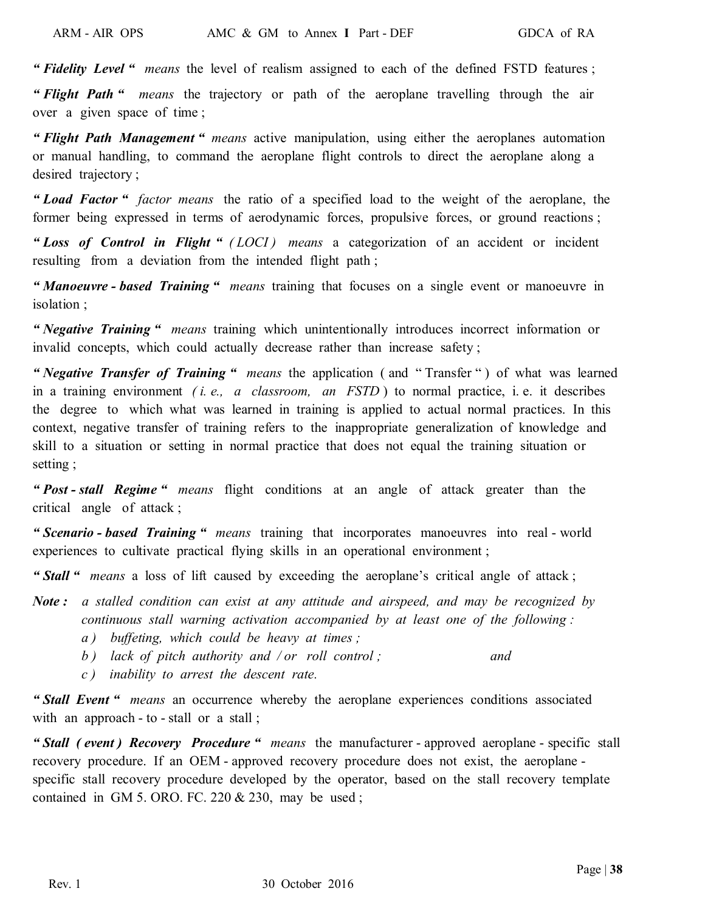*" Fidelity Level " means* the level of realism assigned to each of the defined FSTD features ;

*" Flight Path " means* the trajectory or path of the aeroplane travelling through the air over a given space of time ;

*" Flight Path Management " means* active manipulation, using either the aeroplanes automation or manual handling, to command the aeroplane flight controls to direct the aeroplane along a desired trajectory ;

*" Load Factor " factor means* the ratio of a specified load to the weight of the aeroplane, the former being expressed in terms of aerodynamic forces, propulsive forces, or ground reactions ;

*" Loss of Control in Flight " ( LOCI ) means* a categorization of an accident or incident resulting from a deviation from the intended flight path ;

*" Manoeuvre - based Training " means* training that focuses on a single event or manoeuvre in isolation ;

*" Negative Training " means* training which unintentionally introduces incorrect information or invalid concepts, which could actually decrease rather than increase safety ;

*" Negative Transfer of Training " means* the application ( and " Transfer " ) of what was learned in a training environment *( i. e., a classroom, an FSTD* ) to normal practice, i. e. it describes the degree to which what was learned in training is applied to actual normal practices. In this context, negative transfer of training refers to the inappropriate generalization of knowledge and skill to a situation or setting in normal practice that does not equal the training situation or setting ;

*" Post - stall Regime " means* flight conditions at an angle of attack greater than the critical angle of attack ;

*" Scenario - based Training " means* training that incorporates manoeuvres into real - world experiences to cultivate practical flying skills in an operational environment;

*" Stall " means* a loss of lift caused by exceeding the aeroplane's critical angle of attack ;

*Note : a stalled condition can exist at any attitude and airspeed, and may be recognized by continuous stall warning activation accompanied by at least one of the following :* 

- *a ) buffeting, which could be heavy at times ;*
- *b*) lack of pitch authority and / or roll control; and and
- *c ) inability to arrest the descent rate.*

*" Stall Event " means* an occurrence whereby the aeroplane experiences conditions associated with an approach - to - stall or a stall;

*" Stall ( event ) Recovery Procedure " means* the manufacturer - approved aeroplane - specific stall recovery procedure. If an OEM - approved recovery procedure does not exist, the aeroplane specific stall recovery procedure developed by the operator, based on the stall recovery template contained in GM 5. ORO. FC. 220  $& 230$ , may be used;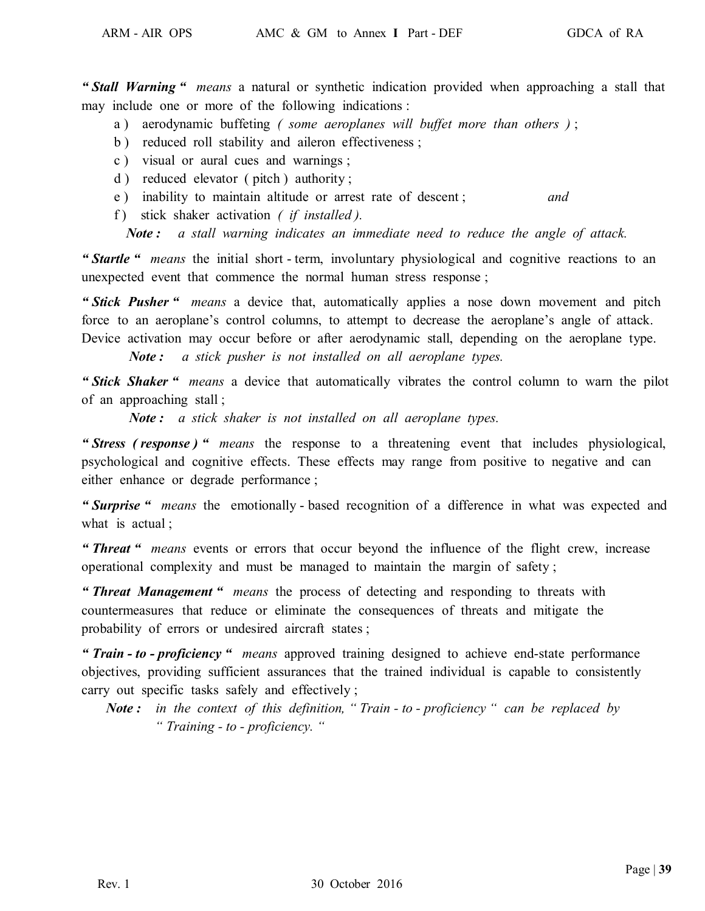*" Stall Warning " means* a natural or synthetic indication provided when approaching a stall that may include one or more of the following indications :

- a ) aerodynamic buffeting *( some aeroplanes will buffet more than others )* ;
- b) reduced roll stability and aileron effectiveness;
- c ) visual or aural cues and warnings ;
- d ) reduced elevator ( pitch ) authority ;
- e ) inability to maintain altitude or arrest rate of descent ; *and*
- f ) stick shaker activation *( if installed ).*

 *Note : a stall warning indicates an immediate need to reduce the angle of attack.* 

*" Startle " means* the initial short - term, involuntary physiological and cognitive reactions to an unexpected event that commence the normal human stress response ;

*" Stick Pusher " means* a device that, automatically applies a nose down movement and pitch force to an aeroplane's control columns, to attempt to decrease the aeroplane's angle of attack. Device activation may occur before or after aerodynamic stall, depending on the aeroplane type.

 *Note : a stick pusher is not installed on all aeroplane types.*

*" Stick Shaker " means* a device that automatically vibrates the control column to warn the pilot of an approaching stall ;

 *Note : a stick shaker is not installed on all aeroplane types.*

*" Stress ( response ) " means* the response to a threatening event that includes physiological, psychological and cognitive effects. These effects may range from positive to negative and can either enhance or degrade performance ;

*" Surprise " means* the emotionally - based recognition of a difference in what was expected and what is actual;

*" Threat " means* events or errors that occur beyond the influence of the flight crew, increase operational complexity and must be managed to maintain the margin of safety ;

*" Threat Management " means* the process of detecting and responding to threats with countermeasures that reduce or eliminate the consequences of threats and mitigate the probability of errors or undesired aircraft states ;

*" Train - to - proficiency " means* approved training designed to achieve end-state performance objectives, providing sufficient assurances that the trained individual is capable to consistently carry out specific tasks safely and effectively ;

*Note : in the context of this definition, " Train - to - proficiency " can be replaced by " Training - to - proficiency. "*